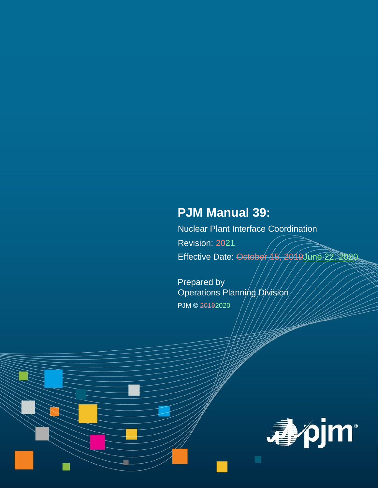# **PJM Manual 39:**

Nuclear Plant Interface Coordination Revision: 2021 Effective Date: October 15, 2019June 22, 2020

Prepared by Operations Planning Division PJM © 20192020

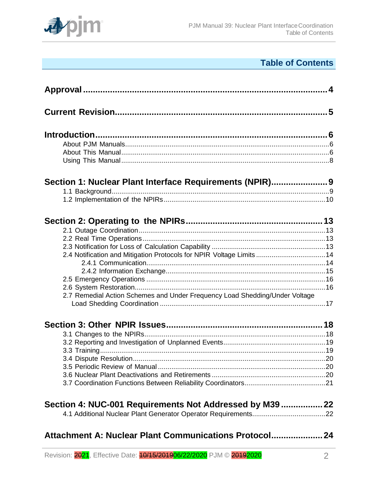

# **Table of Contents**

| Section 1: Nuclear Plant Interface Requirements (NPIR)                      |  |
|-----------------------------------------------------------------------------|--|
|                                                                             |  |
|                                                                             |  |
|                                                                             |  |
|                                                                             |  |
| 2.4 Notification and Mitigation Protocols for NPIR Voltage Limits 14        |  |
|                                                                             |  |
|                                                                             |  |
|                                                                             |  |
|                                                                             |  |
| 2.7 Remedial Action Schemes and Under Frequency Load Shedding/Under Voltage |  |
|                                                                             |  |
|                                                                             |  |
|                                                                             |  |
|                                                                             |  |
|                                                                             |  |
|                                                                             |  |
|                                                                             |  |
|                                                                             |  |
|                                                                             |  |
| Section 4: NUC-001 Requirements Not Addressed by M39  22                    |  |
|                                                                             |  |
|                                                                             |  |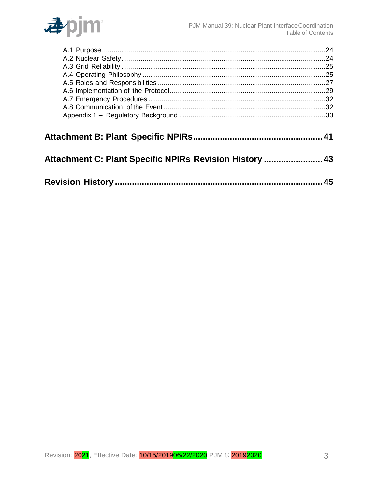

| Attachment C: Plant Specific NPIRs Revision History  43 |    |
|---------------------------------------------------------|----|
|                                                         | 45 |
|                                                         |    |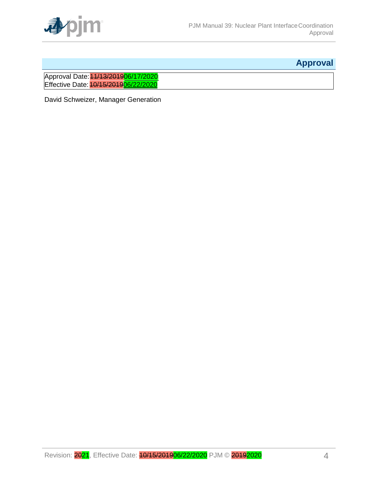

# **Approval**

<span id="page-3-0"></span>Approval Date: 11/13/201906/17/2020 Effective Date: 10/15/201906/22/2020

David Schweizer, Manager Generation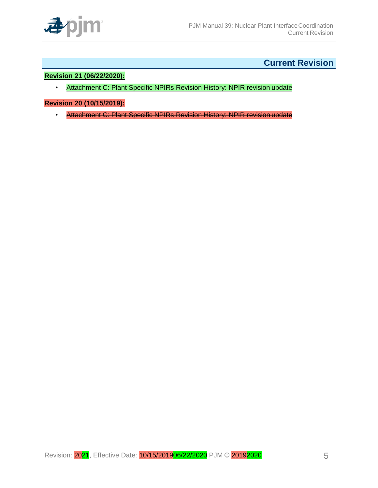

# **Current Revision**

### <span id="page-4-0"></span>**Revision 21 (06/22/2020):**

• Attachment C: Plant Specific NPIRs Revision History: NPIR revision update

#### **Revision 20 (10/15/2019):**

• Attachment C: Plant Specific NPIRs Revision History: NPIR revision update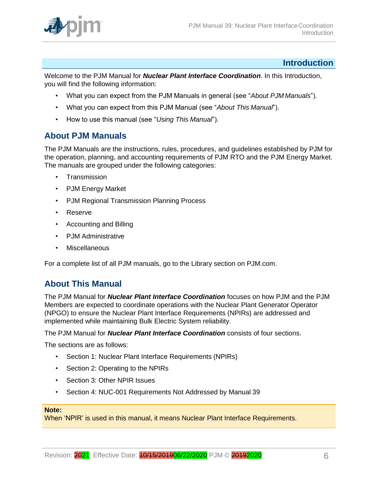

# **Introduction**

<span id="page-5-0"></span>Welcome to the PJM Manual for *Nuclear Plant Interface Coordination*. In this Introduction, you will find the following information:

- What you can expect from the PJM Manuals in general (see "*About PJM Manuals*").
- What you can expect from this PJM Manual (see "*About This Manual*").
- How to use this manual (see "*Using This Manual*").

# <span id="page-5-1"></span>**About PJM Manuals**

The PJM Manuals are the instructions, rules, procedures, and guidelines established by PJM for the operation, planning, and accounting requirements of PJM RTO and the PJM Energy Market. The manuals are grouped under the following categories:

- **Transmission**
- PJM Energy Market
- PJM Regional Transmission Planning Process
- Reserve
- Accounting and Billing
- PJM Administrative
- Miscellaneous

For a complete list of all PJM manuals, go to the Library section on PJM.com.

# <span id="page-5-2"></span>**About This Manual**

The PJM Manual for *Nuclear Plant Interface Coordination* focuses on how PJM and the PJM Members are expected to coordinate operations with the Nuclear Plant Generator Operator (NPGO) to ensure the Nuclear Plant Interface Requirements (NPIRs) are addressed and implemented while maintaining Bulk Electric System reliability.

The PJM Manual for *Nuclear Plant Interface Coordination* consists of four sections.

The sections are as follows:

- Section 1: Nuclear Plant Interface Requirements (NPIRs)
- Section 2: Operating to the NPIRs
- Section 3: Other NPIR Issues
- Section 4: NUC-001 Requirements Not Addressed by Manual 39

#### **Note:**

When 'NPIR' is used in this manual, it means Nuclear Plant Interface Requirements.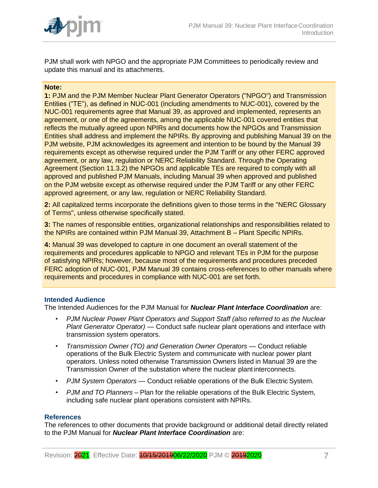

PJM shall work with NPGO and the appropriate PJM Committees to periodically review and update this manual and its attachments.

#### **Note:**

**1:** PJM and the PJM Member Nuclear Plant Generator Operators ("NPGO") and Transmission Entities ("TE"), as defined in NUC-001 (including amendments to NUC-001), covered by the NUC-001 requirements agree that Manual 39, as approved and implemented, represents an agreement, or one of the agreements, among the applicable NUC-001 covered entities that reflects the mutually agreed upon NPIRs and documents how the NPGOs and Transmission Entities shall address and implement the NPIRs. By approving and publishing Manual 39 on the PJM website, PJM acknowledges its agreement and intention to be bound by the Manual 39 requirements except as otherwise required under the PJM Tariff or any other FERC approved agreement, or any law, regulation or NERC Reliability Standard. Through the Operating Agreement (Section 11.3.2) the NPGOs and applicable TEs are required to comply with all approved and published PJM Manuals, including Manual 39 when approved and published on the PJM website except as otherwise required under the PJM Tariff or any other FERC approved agreement, or any law, regulation or NERC Reliability Standard.

**2:** All capitalized terms incorporate the definitions given to those terms in the "NERC Glossary of Terms", unless otherwise specifically stated.

**3:** The names of responsible entities, organizational relationships and responsibilities related to the NPIRs are contained within PJM Manual 39, Attachment B – Plant Specific NPIRs.

**4:** Manual 39 was developed to capture in one document an overall statement of the requirements and procedures applicable to NPGO and relevant TEs in PJM for the purpose of satisfying NPIRs; however, because most of the requirements and procedures preceded FERC adoption of NUC-001, PJM Manual 39 contains cross-references to other manuals where requirements and procedures in compliance with NUC-001 are set forth.

#### **Intended Audience**

The Intended Audiences for the PJM Manual for *Nuclear Plant Interface Coordination* are:

- *PJM Nuclear Power Plant Operators and Support Staff (also referred to as the Nuclear Plant Generator Operator)* — Conduct safe nuclear plant operations and interface with transmission system operators.
- *Transmission Owner (TO) and Generation Owner Operators*  Conduct reliable operations of the Bulk Electric System and communicate with nuclear power plant operators. Unless noted otherwise Transmission Owners listed in Manual 39 are the Transmission Owner of the substation where the nuclear plant interconnects.
- *PJM System Operators*  Conduct reliable operations of the Bulk Electric System.
- *PJM and TO Planners* Plan for the reliable operations of the Bulk Electric System, including safe nuclear plant operations consistent with NPIRs.

#### **References**

The references to other documents that provide background or additional detail directly related to the PJM Manual for *Nuclear Plant Interface Coordination* are: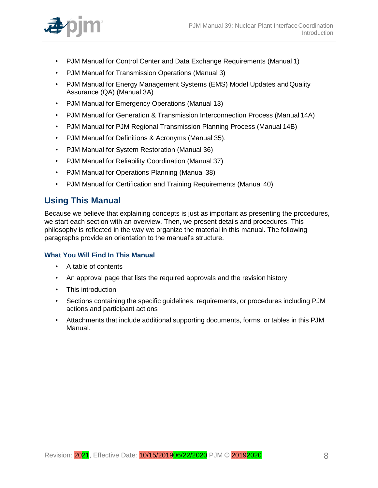

- PJM Manual for Control Center and Data Exchange Requirements (Manual 1)
- PJM Manual for Transmission Operations (Manual 3)
- PJM Manual for Energy Management Systems (EMS) Model Updates andQuality Assurance (QA) (Manual 3A)
- PJM Manual for Emergency Operations (Manual 13)
- PJM Manual for Generation & Transmission Interconnection Process (Manual 14A)
- PJM Manual for PJM Regional Transmission Planning Process (Manual 14B)
- PJM Manual for Definitions & Acronyms (Manual 35).
- PJM Manual for System Restoration (Manual 36)
- PJM Manual for Reliability Coordination (Manual 37)
- PJM Manual for Operations Planning (Manual 38)
- PJM Manual for Certification and Training Requirements (Manual 40)

# <span id="page-7-0"></span>**Using This Manual**

Because we believe that explaining concepts is just as important as presenting the procedures, we start each section with an overview. Then, we present details and procedures. This philosophy is reflected in the way we organize the material in this manual. The following paragraphs provide an orientation to the manual's structure.

# **What You Will Find In This Manual**

- A table of contents
- An approval page that lists the required approvals and the revision history
- This introduction
- Sections containing the specific guidelines, requirements, or procedures including PJM actions and participant actions
- Attachments that include additional supporting documents, forms, or tables in this PJM Manual.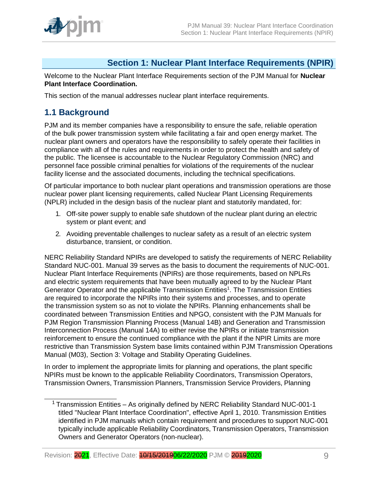

# **Section 1: Nuclear Plant Interface Requirements (NPIR)**

<span id="page-8-0"></span>Welcome to the Nuclear Plant Interface Requirements section of the PJM Manual for **Nuclear Plant Interface Coordination.**

This section of the manual addresses nuclear plant interface requirements.

# <span id="page-8-1"></span>**1.1 Background**

PJM and its member companies have a responsibility to ensure the safe, reliable operation of the bulk power transmission system while facilitating a fair and open energy market. The nuclear plant owners and operators have the responsibility to safely operate their facilities in compliance with all of the rules and requirements in order to protect the health and safety of the public. The licensee is accountable to the Nuclear Regulatory Commission (NRC) and personnel face possible criminal penalties for violations of the requirements of the nuclear facility license and the associated documents, including the technical specifications.

Of particular importance to both nuclear plant operations and transmission operations are those nuclear power plant licensing requirements, called Nuclear Plant Licensing Requirements (NPLR) included in the design basis of the nuclear plant and statutorily mandated, for:

- 1. Off-site power supply to enable safe shutdown of the nuclear plant during an electric system or plant event; and
- 2. Avoiding preventable challenges to nuclear safety as a result of an electric system disturbance, transient, or condition.

NERC Reliability Standard NPIRs are developed to satisfy the requirements of NERC Reliability Standard NUC-001. Manual 39 serves as the basis to document the requirements of NUC-001. Nuclear Plant Interface Requirements (NPIRs) are those requirements, based on NPLRs and electric system requirements that have been mutually agreed to by the Nuclear Plant Generator Operator and the applicable Transmission Entities<sup>1</sup>. The Transmission Entities are required to incorporate the NPIRs into their systems and processes, and to operate the transmission system so as not to violate the NPIRs. Planning enhancements shall be coordinated between Transmission Entities and NPGO, consistent with the PJM Manuals for PJM Region Transmission Planning Process (Manual 14B) and Generation and Transmission Interconnection Process (Manual 14A) to either revise the NPIRs or initiate transmission reinforcement to ensure the continued compliance with the plant if the NPIR Limits are more restrictive than Transmission System base limits contained within PJM Transmission Operations Manual (M03), Section 3: Voltage and Stability Operating Guidelines.

In order to implement the appropriate limits for planning and operations, the plant specific NPIRs must be known to the applicable Reliability Coordinators, Transmission Operators, Transmission Owners, Transmission Planners, Transmission Service Providers, Planning

<sup>&</sup>lt;sup>1</sup> Transmission Entities – As originally defined by NERC Reliability Standard NUC-001-1 titled "Nuclear Plant Interface Coordination", effective April 1, 2010. Transmission Entities identified in PJM manuals which contain requirement and procedures to support NUC-001 typically include applicable Reliability Coordinators, Transmission Operators, Transmission Owners and Generator Operators (non-nuclear).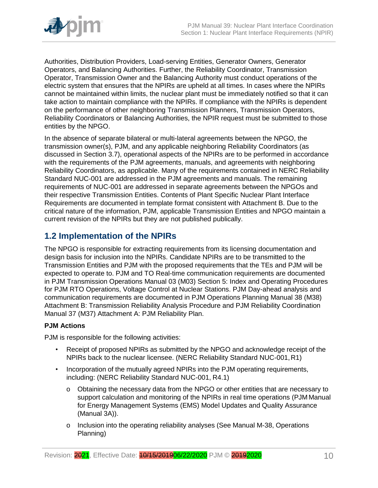

Authorities, Distribution Providers, Load-serving Entities, Generator Owners, Generator Operators, and Balancing Authorities. Further, the Reliability Coordinator, Transmission Operator, Transmission Owner and the Balancing Authority must conduct operations of the electric system that ensures that the NPIRs are upheld at all times. In cases where the NPIRs cannot be maintained within limits, the nuclear plant must be immediately notified so that it can take action to maintain compliance with the NPIRs. If compliance with the NPIRs is dependent on the performance of other neighboring Transmission Planners, Transmission Operators, Reliability Coordinators or Balancing Authorities, the NPIR request must be submitted to those entities by the NPGO.

In the absence of separate bilateral or multi-lateral agreements between the NPGO, the transmission owner(s), PJM, and any applicable neighboring Reliability Coordinators (as discussed in Section 3.7), operational aspects of the NPIRs are to be performed in accordance with the requirements of the PJM agreements, manuals, and agreements with neighboring Reliability Coordinators, as applicable. Many of the requirements contained in NERC Reliability Standard NUC-001 are addressed in the PJM agreements and manuals. The remaining requirements of NUC-001 are addressed in separate agreements between the NPGOs and their respective Transmission Entities. Contents of Plant Specific Nuclear Plant Interface Requirements are documented in template format consistent with Attachment B. Due to the critical nature of the information, PJM, applicable Transmission Entities and NPGO maintain a current revision of the NPIRs but they are not published publically.

# <span id="page-9-0"></span>**1.2 Implementation of the NPIRs**

The NPGO is responsible for extracting requirements from its licensing documentation and design basis for inclusion into the NPIRs. Candidate NPIRs are to be transmitted to the Transmission Entities and PJM with the proposed requirements that the TEs and PJM will be expected to operate to. PJM and TO Real-time communication requirements are documented in PJM Transmission Operations Manual 03 (M03) Section 5: Index and Operating Procedures for PJM RTO Operations, Voltage Control at Nuclear Stations. PJM Day-ahead analysis and communication requirements are documented in PJM Operations Planning Manual 38 (M38) Attachment B: Transmission Reliability Analysis Procedure and PJM Reliability Coordination Manual 37 (M37) Attachment A: PJM Reliability Plan.

# **PJM Actions**

PJM is responsible for the following activities:

- Receipt of proposed NPIRs as submitted by the NPGO and acknowledge receipt of the NPIRs back to the nuclear licensee. (NERC Reliability Standard NUC-001,R1)
- Incorporation of the mutually agreed NPIRs into the PJM operating requirements, including: (NERC Reliability Standard NUC-001, R4.1)
	- o Obtaining the necessary data from the NPGO or other entities that are necessary to support calculation and monitoring of the NPIRs in real time operations (PJM Manual for Energy Management Systems (EMS) Model Updates and Quality Assurance (Manual 3A)).
	- o Inclusion into the operating reliability analyses (See Manual M-38, Operations Planning)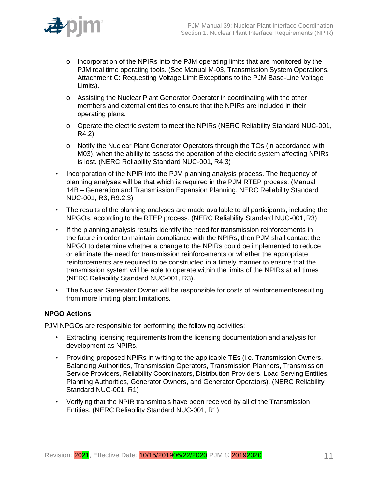

- o Incorporation of the NPIRs into the PJM operating limits that are monitored by the PJM real time operating tools. (See Manual M-03, Transmission System Operations, Attachment C: Requesting Voltage Limit Exceptions to the PJM Base-Line Voltage Limits).
- o Assisting the Nuclear Plant Generator Operator in coordinating with the other members and external entities to ensure that the NPIRs are included in their operating plans.
- o Operate the electric system to meet the NPIRs (NERC Reliability Standard NUC-001, R4.2)
- o Notify the Nuclear Plant Generator Operators through the TOs (in accordance with M03), when the ability to assess the operation of the electric system affecting NPIRs is lost. (NERC Reliability Standard NUC-001, R4.3)
- Incorporation of the NPIR into the PJM planning analysis process. The frequency of planning analyses will be that which is required in the PJM RTEP process. (Manual 14B – Generation and Transmission Expansion Planning, NERC Reliability Standard NUC-001, R3, R9.2.3)
- The results of the planning analyses are made available to all participants, including the NPGOs, according to the RTEP process. (NERC Reliability Standard NUC-001,R3)
- If the planning analysis results identify the need for transmission reinforcements in the future in order to maintain compliance with the NPIRs, then PJM shall contact the NPGO to determine whether a change to the NPIRs could be implemented to reduce or eliminate the need for transmission reinforcements or whether the appropriate reinforcements are required to be constructed in a timely manner to ensure that the transmission system will be able to operate within the limits of the NPIRs at all times (NERC Reliability Standard NUC-001, R3).
- The Nuclear Generator Owner will be responsible for costs of reinforcements resulting from more limiting plant limitations.

# **NPGO Actions**

PJM NPGOs are responsible for performing the following activities:

- Extracting licensing requirements from the licensing documentation and analysis for development as NPIRs.
- Providing proposed NPIRs in writing to the applicable TEs (i.e. Transmission Owners, Balancing Authorities, Transmission Operators, Transmission Planners, Transmission Service Providers, Reliability Coordinators, Distribution Providers, Load Serving Entities, Planning Authorities, Generator Owners, and Generator Operators). (NERC Reliability Standard NUC-001, R1)
- Verifying that the NPIR transmittals have been received by all of the Transmission Entities. (NERC Reliability Standard NUC-001, R1)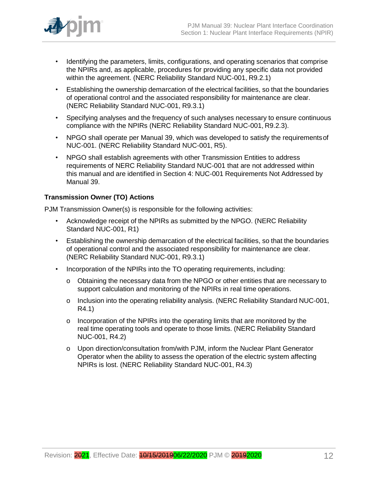

- Identifying the parameters, limits, configurations, and operating scenarios that comprise the NPIRs and, as applicable, procedures for providing any specific data not provided within the agreement. (NERC Reliability Standard NUC-001, R9.2.1)
- Establishing the ownership demarcation of the electrical facilities, so that the boundaries of operational control and the associated responsibility for maintenance are clear. (NERC Reliability Standard NUC-001, R9.3.1)
- Specifying analyses and the frequency of such analyses necessary to ensure continuous compliance with the NPIRs (NERC Reliability Standard NUC-001, R9.2.3).
- NPGO shall operate per Manual 39, which was developed to satisfy the requirementsof NUC-001. (NERC Reliability Standard NUC-001, R5).
- NPGO shall establish agreements with other Transmission Entities to address requirements of NERC Reliability Standard NUC-001 that are not addressed within this manual and are identified in Section 4: NUC-001 Requirements Not Addressed by Manual 39.

# **Transmission Owner (TO) Actions**

PJM Transmission Owner(s) is responsible for the following activities:

- Acknowledge receipt of the NPIRs as submitted by the NPGO. (NERC Reliability Standard NUC-001, R1)
- Establishing the ownership demarcation of the electrical facilities, so that the boundaries of operational control and the associated responsibility for maintenance are clear. (NERC Reliability Standard NUC-001, R9.3.1)
- Incorporation of the NPIRs into the TO operating requirements, including:
	- o Obtaining the necessary data from the NPGO or other entities that are necessary to support calculation and monitoring of the NPIRs in real time operations.
	- o Inclusion into the operating reliability analysis. (NERC Reliability Standard NUC-001, R4.1)
	- o Incorporation of the NPIRs into the operating limits that are monitored by the real time operating tools and operate to those limits. (NERC Reliability Standard NUC-001, R4.2)
	- o Upon direction/consultation from/with PJM, inform the Nuclear Plant Generator Operator when the ability to assess the operation of the electric system affecting NPIRs is lost. (NERC Reliability Standard NUC-001, R4.3)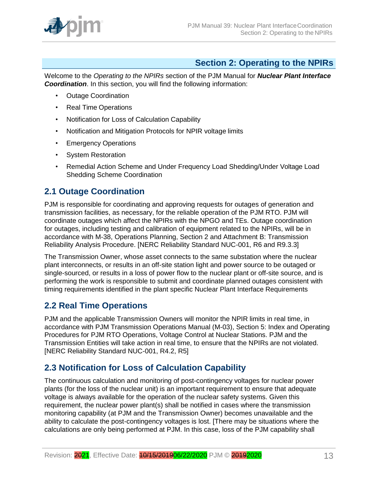

# **Section 2: Operating to the NPIRs**

<span id="page-12-0"></span>Welcome to the *Operating to the NPIRs* section of the PJM Manual for *Nuclear Plant Interface Coordination*. In this section, you will find the following information:

- Outage Coordination
- Real Time Operations
- Notification for Loss of Calculation Capability
- Notification and Mitigation Protocols for NPIR voltage limits
- Emergency Operations
- System Restoration
- Remedial Action Scheme and Under Frequency Load Shedding/Under Voltage Load Shedding Scheme Coordination

# <span id="page-12-1"></span>**2.1 Outage Coordination**

PJM is responsible for coordinating and approving requests for outages of generation and transmission facilities, as necessary, for the reliable operation of the PJM RTO. PJM will coordinate outages which affect the NPIRs with the NPGO and TEs. Outage coordination for outages, including testing and calibration of equipment related to the NPIRs, will be in accordance with M-38, Operations Planning, Section 2 and Attachment B: Transmission Reliability Analysis Procedure. [NERC Reliability Standard NUC-001, R6 and R9.3.3]

The Transmission Owner, whose asset connects to the same substation where the nuclear plant interconnects, or results in an off-site station light and power source to be outaged or single-sourced, or results in a loss of power flow to the nuclear plant or off-site source, and is performing the work is responsible to submit and coordinate planned outages consistent with timing requirements identified in the plant specific Nuclear Plant Interface Requirements

# <span id="page-12-2"></span>**2.2 Real Time Operations**

PJM and the applicable Transmission Owners will monitor the NPIR limits in real time, in accordance with PJM Transmission Operations Manual (M-03), Section 5: Index and Operating Procedures for PJM RTO Operations, Voltage Control at Nuclear Stations. PJM and the Transmission Entities will take action in real time, to ensure that the NPIRs are not violated. [NERC Reliability Standard NUC-001, R4.2, R5]

# <span id="page-12-3"></span>**2.3 Notification for Loss of Calculation Capability**

The continuous calculation and monitoring of post-contingency voltages for nuclear power plants (for the loss of the nuclear unit) is an important requirement to ensure that adequate voltage is always available for the operation of the nuclear safety systems. Given this requirement, the nuclear power plant(s) shall be notified in cases where the transmission monitoring capability (at PJM and the Transmission Owner) becomes unavailable and the ability to calculate the post-contingency voltages is lost. [There may be situations where the calculations are only being performed at PJM. In this case, loss of the PJM capability shall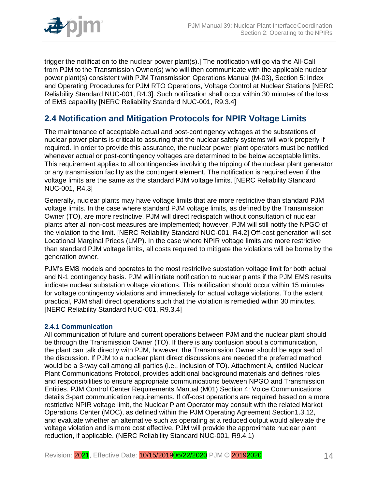

trigger the notification to the nuclear power plant(s).] The notification will go via the All-Call from PJM to the Transmission Owner(s) who will then communicate with the applicable nuclear power plant(s) consistent with PJM Transmission Operations Manual (M-03), Section 5: Index and Operating Procedures for PJM RTO Operations, Voltage Control at Nuclear Stations [NERC Reliability Standard NUC-001, R4.3]. Such notification shall occur within 30 minutes of the loss of EMS capability [NERC Reliability Standard NUC-001, R9.3.4]

# <span id="page-13-0"></span>**2.4 Notification and Mitigation Protocols for NPIR Voltage Limits**

The maintenance of acceptable actual and post-contingency voltages at the substations of nuclear power plants is critical to assuring that the nuclear safety systems will work properly if required. In order to provide this assurance, the nuclear power plant operators must be notified whenever actual or post-contingency voltages are determined to be below acceptable limits. This requirement applies to all contingencies involving the tripping of the nuclear plant generator or any transmission facility as the contingent element. The notification is required even if the voltage limits are the same as the standard PJM voltage limits. [NERC Reliability Standard NUC-001, R4.3]

Generally, nuclear plants may have voltage limits that are more restrictive than standard PJM voltage limits. In the case where standard PJM voltage limits, as defined by the Transmission Owner (TO), are more restrictive, PJM will direct redispatch without consultation of nuclear plants after all non-cost measures are implemented; however, PJM will still notify the NPGO of the violation to the limit. [NERC Reliability Standard NUC-001, R4.2] Off-cost generation will set Locational Marginal Prices (LMP). In the case where NPIR voltage limits are more restrictive than standard PJM voltage limits, all costs required to mitigate the violations will be borne by the generation owner.

PJM's EMS models and operates to the most restrictive substation voltage limit for both actual and N-1 contingency basis. PJM will initiate notification to nuclear plants if the PJM EMS results indicate nuclear substation voltage violations. This notification should occur within 15 minutes for voltage contingency violations and immediately for actual voltage violations. To the extent practical, PJM shall direct operations such that the violation is remedied within 30 minutes. [NERC Reliability Standard NUC-001, R9.3.4]

# <span id="page-13-1"></span>**2.4.1 Communication**

All communication of future and current operations between PJM and the nuclear plant should be through the Transmission Owner (TO). If there is any confusion about a communication, the plant can talk directly with PJM, however, the Transmission Owner should be apprised of the discussion. If PJM to a nuclear plant direct discussions are needed the preferred method would be a 3-way call among all parties (i.e., inclusion of TO). Attachment A, entitled Nuclear Plant Communications Protocol, provides additional background materials and defines roles and responsibilities to ensure appropriate communications between NPGO and Transmission Entities. PJM Control Center Requirements Manual (M01) Section 4: Voice Communications details 3-part communication requirements. If off-cost operations are required based on a more restrictive NPIR voltage limit, the Nuclear Plant Operator may consult with the related Market Operations Center (MOC), as defined within the PJM Operating Agreement Section1.3.12, and evaluate whether an alternative such as operating at a reduced output would alleviate the voltage violation and is more cost effective. PJM will provide the approximate nuclear plant reduction, if applicable. (NERC Reliability Standard NUC-001, R9.4.1)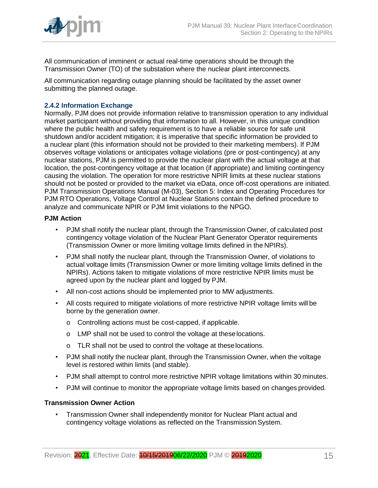

All communication of imminent or actual real-time operations should be through the Transmission Owner (TO) of the substation where the nuclear plant interconnects.

All communication regarding outage planning should be facilitated by the asset owner submitting the planned outage.

# <span id="page-14-0"></span>**2.4.2 Information Exchange**

Normally, PJM does not provide information relative to transmission operation to any individual market participant without providing that information to all. However, in this unique condition where the public health and safety requirement is to have a reliable source for safe unit shutdown and/or accident mitigation; it is imperative that specific information be provided to a nuclear plant (this information should not be provided to their marketing members). If PJM observes voltage violations or anticipates voltage violations (pre or post-contingency) at any nuclear stations, PJM is permitted to provide the nuclear plant with the actual voltage at that location, the post-contingency voltage at that location (if appropriate) and limiting contingency causing the violation. The operation for more restrictive NPIR limits at these nuclear stations should not be posted or provided to the market via eData, once off-cost operations are initiated. PJM Transmission Operations Manual (M-03), Section 5: Index and Operating Procedures for PJM RTO Operations, Voltage Control at Nuclear Stations contain the defined procedure to analyze and communicate NPIR or PJM limit violations to the NPGO.

# **PJM Action**

- PJM shall notify the nuclear plant, through the Transmission Owner, of calculated post contingency voltage violation of the Nuclear Plant Generator Operator requirements (Transmission Owner or more limiting voltage limits defined in the NPIRs).
- PJM shall notify the nuclear plant, through the Transmission Owner, of violations to actual voltage limits (Transmission Owner or more limiting voltage limits defined in the NPIRs). Actions taken to mitigate violations of more restrictive NPIR limits must be agreed upon by the nuclear plant and logged by PJM.
- All non-cost actions should be implemented prior to MW adjustments.
- All costs required to mitigate violations of more restrictive NPIR voltage limits will be borne by the generation owner.
	- o Controlling actions must be cost-capped, if applicable.
	- o LMP shall not be used to control the voltage at theselocations.
	- o TLR shall not be used to control the voltage at theselocations.
- PJM shall notify the nuclear plant, through the Transmission Owner, when the voltage level is restored within limits (and stable).
- PJM shall attempt to control more restrictive NPIR voltage limitations within 30 minutes.
- PJM will continue to monitor the appropriate voltage limits based on changes provided.

# **Transmission Owner Action**

• Transmission Owner shall independently monitor for Nuclear Plant actual and contingency voltage violations as reflected on the Transmission System.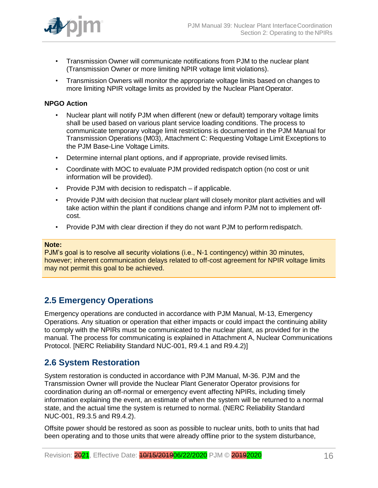

- Transmission Owner will communicate notifications from PJM to the nuclear plant (Transmission Owner or more limiting NPIR voltage limit violations).
- Transmission Owners will monitor the appropriate voltage limits based on changes to more limiting NPIR voltage limits as provided by the Nuclear Plant Operator.

### **NPGO Action**

- Nuclear plant will notify PJM when different (new or default) temporary voltage limits shall be used based on various plant service loading conditions. The process to communicate temporary voltage limit restrictions is documented in the PJM Manual for Transmission Operations (M03), Attachment C: Requesting Voltage Limit Exceptions to the PJM Base-Line Voltage Limits.
- Determine internal plant options, and if appropriate, provide revised limits.
- Coordinate with MOC to evaluate PJM provided redispatch option (no cost or unit information will be provided).
- Provide PJM with decision to redispatch if applicable.
- Provide PJM with decision that nuclear plant will closely monitor plant activities and will take action within the plant if conditions change and inform PJM not to implement offcost.
- Provide PJM with clear direction if they do not want PJM to perform redispatch.

#### **Note:**

PJM's goal is to resolve all security violations (i.e., N-1 contingency) within 30 minutes, however; inherent communication delays related to off-cost agreement for NPIR voltage limits may not permit this goal to be achieved.

# <span id="page-15-0"></span>**2.5 Emergency Operations**

Emergency operations are conducted in accordance with PJM Manual, M-13, Emergency Operations. Any situation or operation that either impacts or could impact the continuing ability to comply with the NPIRs must be communicated to the nuclear plant, as provided for in the manual. The process for communicating is explained in Attachment A, Nuclear Communications Protocol. [NERC Reliability Standard NUC-001, R9.4.1 and R9.4.2)]

# <span id="page-15-1"></span>**2.6 System Restoration**

System restoration is conducted in accordance with PJM Manual, M-36. PJM and the Transmission Owner will provide the Nuclear Plant Generator Operator provisions for coordination during an off-normal or emergency event affecting NPIRs, including timely information explaining the event, an estimate of when the system will be returned to a normal state, and the actual time the system is returned to normal. (NERC Reliability Standard NUC-001, R9.3.5 and R9.4.2).

Offsite power should be restored as soon as possible to nuclear units, both to units that had been operating and to those units that were already offline prior to the system disturbance,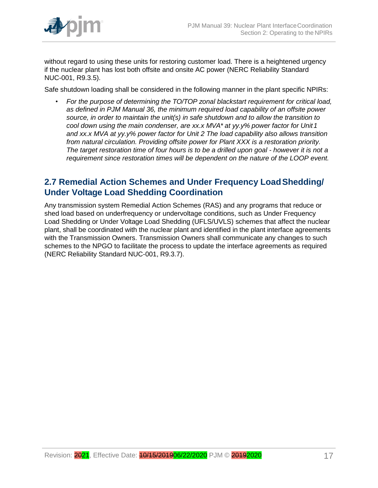

without regard to using these units for restoring customer load. There is a heightened urgency if the nuclear plant has lost both offsite and onsite AC power (NERC Reliability Standard NUC-001, R9.3.5).

Safe shutdown loading shall be considered in the following manner in the plant specific NPIRs:

• *For the purpose of determining the TO/TOP zonal blackstart requirement for critical load, as defined in PJM Manual 36, the minimum required load capability of an offsite power source, in order to maintain the unit(s) in safe shutdown and to allow the transition to cool down using the main condenser, are xx.x MVA\* at yy.y% power factor for Unit1 and xx.x MVA at yy.y% power factor for Unit 2 The load capability also allows transition from natural circulation. Providing offsite power for Plant XXX is a restoration priority. The target restoration time of four hours is to be a drilled upon goal - however it is not a requirement since restoration times will be dependent on the nature of the LOOP event.*

# <span id="page-16-0"></span>**2.7 Remedial Action Schemes and Under Frequency LoadShedding/ Under Voltage Load Shedding Coordination**

Any transmission system Remedial Action Schemes (RAS) and any programs that reduce or shed load based on underfrequency or undervoltage conditions, such as Under Frequency Load Shedding or Under Voltage Load Shedding (UFLS/UVLS) schemes that affect the nuclear plant, shall be coordinated with the nuclear plant and identified in the plant interface agreements with the Transmission Owners. Transmission Owners shall communicate any changes to such schemes to the NPGO to facilitate the process to update the interface agreements as required (NERC Reliability Standard NUC-001, R9.3.7).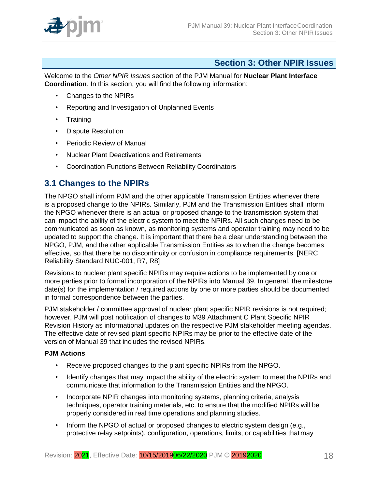

# **Section 3: Other NPIR Issues**

<span id="page-17-0"></span>Welcome to the *Other NPIR Issues* section of the PJM Manual for **Nuclear Plant Interface Coordination**. In this section, you will find the following information:

- Changes to the NPIRs
- Reporting and Investigation of Unplanned Events
- Training
- Dispute Resolution
- Periodic Review of Manual
- Nuclear Plant Deactivations and Retirements
- Coordination Functions Between Reliability Coordinators

# <span id="page-17-1"></span>**3.1 Changes to the NPIRs**

The NPGO shall inform PJM and the other applicable Transmission Entities whenever there is a proposed change to the NPIRs. Similarly, PJM and the Transmission Entities shall inform the NPGO whenever there is an actual or proposed change to the transmission system that can impact the ability of the electric system to meet the NPIRs. All such changes need to be communicated as soon as known, as monitoring systems and operator training may need to be updated to support the change. It is important that there be a clear understanding between the NPGO, PJM, and the other applicable Transmission Entities as to when the change becomes effective, so that there be no discontinuity or confusion in compliance requirements. [NERC Reliability Standard NUC-001, R7, R8]

Revisions to nuclear plant specific NPIRs may require actions to be implemented by one or more parties prior to formal incorporation of the NPIRs into Manual 39. In general, the milestone date(s) for the implementation / required actions by one or more parties should be documented in formal correspondence between the parties.

PJM stakeholder / committee approval of nuclear plant specific NPIR revisions is not required; however, PJM will post notification of changes to M39 Attachment C Plant Specific NPIR Revision History as informational updates on the respective PJM stakeholder meeting agendas. The effective date of revised plant specific NPIRs may be prior to the effective date of the version of Manual 39 that includes the revised NPIRs.

# **PJM Actions**

- Receive proposed changes to the plant specific NPIRs from the NPGO.
- Identify changes that may impact the ability of the electric system to meet the NPIRs and communicate that information to the Transmission Entities and the NPGO.
- Incorporate NPIR changes into monitoring systems, planning criteria, analysis techniques, operator training materials, etc. to ensure that the modified NPIRs will be properly considered in real time operations and planning studies.
- Inform the NPGO of actual or proposed changes to electric system design (e.g., protective relay setpoints), configuration, operations, limits, or capabilities thatmay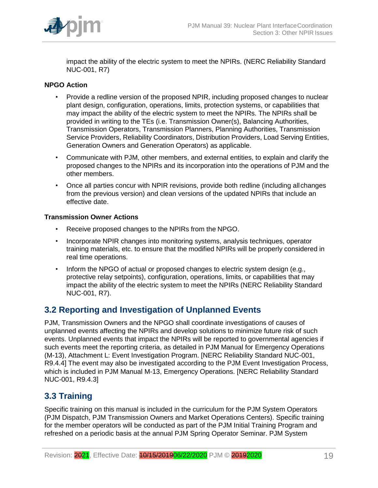

impact the ability of the electric system to meet the NPIRs. (NERC Reliability Standard NUC-001, R7)

# **NPGO Action**

- Provide a redline version of the proposed NPIR, including proposed changes to nuclear plant design, configuration, operations, limits, protection systems, or capabilities that may impact the ability of the electric system to meet the NPIRs. The NPIRs shall be provided in writing to the TEs (i.e. Transmission Owner(s), Balancing Authorities, Transmission Operators, Transmission Planners, Planning Authorities, Transmission Service Providers, Reliability Coordinators, Distribution Providers, Load Serving Entities, Generation Owners and Generation Operators) as applicable.
- Communicate with PJM, other members, and external entities, to explain and clarify the proposed changes to the NPIRs and its incorporation into the operations of PJM and the other members.
- Once all parties concur with NPIR revisions, provide both redline (including allchanges from the previous version) and clean versions of the updated NPIRs that include an effective date.

# **Transmission Owner Actions**

- Receive proposed changes to the NPIRs from the NPGO.
- Incorporate NPIR changes into monitoring systems, analysis techniques, operator training materials, etc. to ensure that the modified NPIRs will be properly considered in real time operations.
- Inform the NPGO of actual or proposed changes to electric system design (e.g., protective relay setpoints), configuration, operations, limits, or capabilities that may impact the ability of the electric system to meet the NPIRs (NERC Reliability Standard NUC-001, R7).

# <span id="page-18-0"></span>**3.2 Reporting and Investigation of Unplanned Events**

PJM, Transmission Owners and the NPGO shall coordinate investigations of causes of unplanned events affecting the NPIRs and develop solutions to minimize future risk of such events. Unplanned events that impact the NPIRs will be reported to governmental agencies if such events meet the reporting criteria, as detailed in PJM Manual for Emergency Operations (M-13), Attachment L: Event Investigation Program. [NERC Reliability Standard NUC-001, R9.4.4] The event may also be investigated according to the PJM Event Investigation Process, which is included in PJM Manual M-13, Emergency Operations. [NERC Reliability Standard NUC-001, R9.4.3]

# <span id="page-18-1"></span>**3.3 Training**

Specific training on this manual is included in the curriculum for the PJM System Operators (PJM Dispatch, PJM Transmission Owners and Market Operations Centers). Specific training for the member operators will be conducted as part of the PJM Initial Training Program and refreshed on a periodic basis at the annual PJM Spring Operator Seminar. PJM System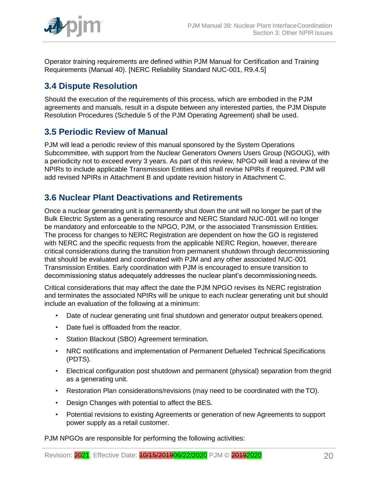

Operator training requirements are defined within PJM Manual for Certification and Training Requirements (Manual 40). [NERC Reliability Standard NUC-001, R9.4.5]

# <span id="page-19-0"></span>**3.4 Dispute Resolution**

Should the execution of the requirements of this process, which are embodied in the PJM agreements and manuals, result in a dispute between any interested parties, the PJM Dispute Resolution Procedures (Schedule 5 of the PJM Operating Agreement) shall be used.

# <span id="page-19-1"></span>**3.5 Periodic Review of Manual**

PJM will lead a periodic review of this manual sponsored by the System Operations Subcommittee, with support from the Nuclear Generators Owners Users Group (NGOUG), with a periodicity not to exceed every 3 years. As part of this review, NPGO will lead a review of the NPIRs to include applicable Transmission Entities and shall revise NPIRs if required. PJM will add revised NPIRs in Attachment B and update revision history in Attachment C.

# <span id="page-19-2"></span>**3.6 Nuclear Plant Deactivations and Retirements**

Once a nuclear generating unit is permanently shut down the unit will no longer be part of the Bulk Electric System as a generating resource and NERC Standard NUC-001 will no longer be mandatory and enforceable to the NPGO, PJM, or the associated Transmission Entities. The process for changes to NERC Registration are dependent on how the GO is registered with NERC and the specific requests from the applicable NERC Region, however, thereare critical considerations during the transition from permanent shutdown through decommissioning that should be evaluated and coordinated with PJM and any other associated NUC-001 Transmission Entities. Early coordination with PJM is encouraged to ensure transition to decommissioning status adequately addresses the nuclear plant's decommissioningneeds.

Critical considerations that may affect the date the PJM NPGO revises its NERC registration and terminates the associated NPIRs will be unique to each nuclear generating unit but should include an evaluation of the following at a minimum:

- Date of nuclear generating unit final shutdown and generator output breakers opened.
- Date fuel is offloaded from the reactor.
- Station Blackout (SBO) Agreement termination.
- NRC notifications and implementation of Permanent Defueled Technical Specifications (PDTS).
- Electrical configuration post shutdown and permanent (physical) separation from thegrid as a generating unit.
- Restoration Plan considerations/revisions (may need to be coordinated with the TO).
- Design Changes with potential to affect the BES.
- Potential revisions to existing Agreements or generation of new Agreements to support power supply as a retail customer.

PJM NPGOs are responsible for performing the following activities: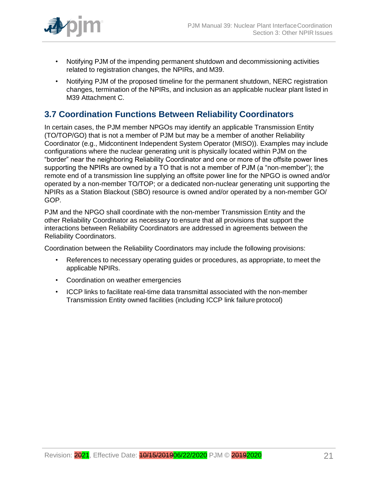

- Notifying PJM of the impending permanent shutdown and decommissioning activities related to registration changes, the NPIRs, and M39.
- Notifying PJM of the proposed timeline for the permanent shutdown, NERC registration changes, termination of the NPIRs, and inclusion as an applicable nuclear plant listed in M39 Attachment C.

# <span id="page-20-0"></span>**3.7 Coordination Functions Between Reliability Coordinators**

In certain cases, the PJM member NPGOs may identify an applicable Transmission Entity (TO/TOP/GO) that is not a member of PJM but may be a member of another Reliability Coordinator (e.g., Midcontinent Independent System Operator (MISO)). Examples may include configurations where the nuclear generating unit is physically located within PJM on the "border" near the neighboring Reliability Coordinator and one or more of the offsite power lines supporting the NPIRs are owned by a TO that is not a member of PJM (a "non-member"); the remote end of a transmission line supplying an offsite power line for the NPGO is owned and/or operated by a non-member TO/TOP; or a dedicated non-nuclear generating unit supporting the NPIRs as a Station Blackout (SBO) resource is owned and/or operated by a non-member GO/ GOP.

PJM and the NPGO shall coordinate with the non-member Transmission Entity and the other Reliability Coordinator as necessary to ensure that all provisions that support the interactions between Reliability Coordinators are addressed in agreements between the Reliability Coordinators.

Coordination between the Reliability Coordinators may include the following provisions:

- References to necessary operating guides or procedures, as appropriate, to meet the applicable NPIRs.
- Coordination on weather emergencies
- ICCP links to facilitate real-time data transmittal associated with the non-member Transmission Entity owned facilities (including ICCP link failure protocol)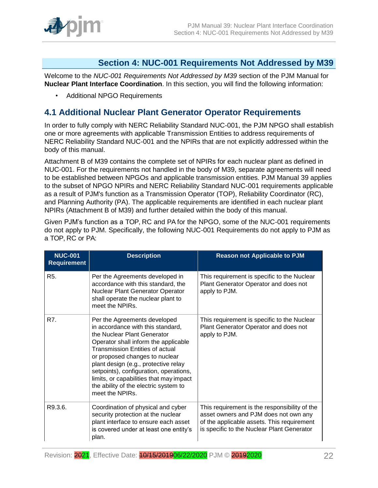

# **Section 4: NUC-001 Requirements Not Addressed by M39**

<span id="page-21-0"></span>Welcome to the *NUC-001 Requirements Not Addressed by M39* section of the PJM Manual for **Nuclear Plant Interface Coordination**. In this section, you will find the following information:

• Additional NPGO Requirements

# <span id="page-21-1"></span>**4.1 Additional Nuclear Plant Generator Operator Requirements**

In order to fully comply with NERC Reliability Standard NUC-001, the PJM NPGO shall establish one or more agreements with applicable Transmission Entities to address requirements of NERC Reliability Standard NUC-001 and the NPIRs that are not explicitly addressed within the body of this manual.

Attachment B of M39 contains the complete set of NPIRs for each nuclear plant as defined in NUC-001. For the requirements not handled in the body of M39, separate agreements will need to be established between NPGOs and applicable transmission entities. PJM Manual 39 applies to the subset of NPGO NPIRs and NERC Reliability Standard NUC-001 requirements applicable as a result of PJM's function as a Transmission Operator (TOP), Reliability Coordinator (RC), and Planning Authority (PA). The applicable requirements are identified in each nuclear plant NPIRs (Attachment B of M39) and further detailed within the body of this manual.

Given PJM's function as a TOP, RC and PA for the NPGO, some of the NUC-001 requirements do not apply to PJM. Specifically, the following NUC-001 Requirements do not apply to PJM as a TOP, RC or PA:

| <b>NUC-001</b><br><b>Requirement</b> | <b>Description</b>                                                                                                                                                                                                                                                                                                                                                                                     | <b>Reason not Applicable to PJM</b>                                                                                                                                                |
|--------------------------------------|--------------------------------------------------------------------------------------------------------------------------------------------------------------------------------------------------------------------------------------------------------------------------------------------------------------------------------------------------------------------------------------------------------|------------------------------------------------------------------------------------------------------------------------------------------------------------------------------------|
| R <sub>5</sub> .                     | Per the Agreements developed in<br>accordance with this standard, the<br><b>Nuclear Plant Generator Operator</b><br>shall operate the nuclear plant to<br>meet the NPIRs.                                                                                                                                                                                                                              | This requirement is specific to the Nuclear<br>Plant Generator Operator and does not<br>apply to PJM.                                                                              |
| R7.                                  | Per the Agreements developed<br>in accordance with this standard,<br>the Nuclear Plant Generator<br>Operator shall inform the applicable<br>Transmission Entities of actual<br>or proposed changes to nuclear<br>plant design (e.g., protective relay<br>setpoints), configuration, operations,<br>limits, or capabilities that may impact<br>the ability of the electric system to<br>meet the NPIRs. | This requirement is specific to the Nuclear<br>Plant Generator Operator and does not<br>apply to PJM.                                                                              |
| R9.3.6.                              | Coordination of physical and cyber<br>security protection at the nuclear<br>plant interface to ensure each asset<br>is covered under at least one entity's<br>plan.                                                                                                                                                                                                                                    | This requirement is the responsibility of the<br>asset owners and PJM does not own any<br>of the applicable assets. This requirement<br>is specific to the Nuclear Plant Generator |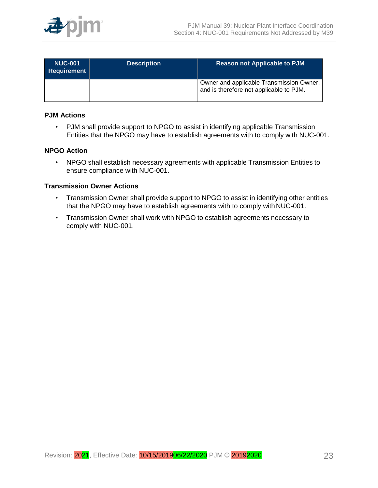

| <b>NUC-001</b><br><b>Requirement</b> | <b>Description</b> | <b>Reason not Applicable to PJM</b>                                                 |
|--------------------------------------|--------------------|-------------------------------------------------------------------------------------|
|                                      |                    | Owner and applicable Transmission Owner,<br>and is therefore not applicable to PJM. |

### **PJM Actions**

• PJM shall provide support to NPGO to assist in identifying applicable Transmission Entities that the NPGO may have to establish agreements with to comply with NUC-001.

### **NPGO Action**

• NPGO shall establish necessary agreements with applicable Transmission Entities to ensure compliance with NUC-001.

#### **Transmission Owner Actions**

- Transmission Owner shall provide support to NPGO to assist in identifying other entities that the NPGO may have to establish agreements with to comply withNUC-001.
- Transmission Owner shall work with NPGO to establish agreements necessary to comply with NUC-001.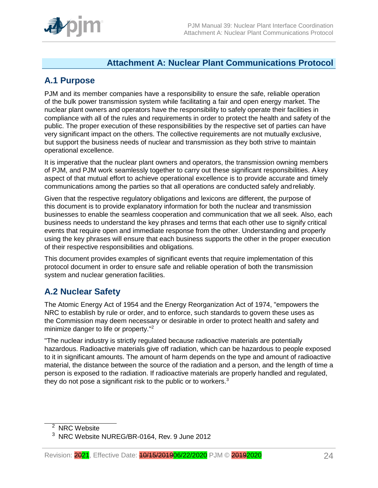# **Attachment A: Nuclear Plant Communications Protocol**

# <span id="page-23-1"></span><span id="page-23-0"></span>**A.1 Purpose**

PJM and its member companies have a responsibility to ensure the safe, reliable operation of the bulk power transmission system while facilitating a fair and open energy market. The nuclear plant owners and operators have the responsibility to safely operate their facilities in compliance with all of the rules and requirements in order to protect the health and safety of the public. The proper execution of these responsibilities by the respective set of parties can have very significant impact on the others. The collective requirements are not mutually exclusive, but support the business needs of nuclear and transmission as they both strive to maintain operational excellence.

It is imperative that the nuclear plant owners and operators, the transmission owning members of PJM, and PJM work seamlessly together to carry out these significant responsibilities. Akey aspect of that mutual effort to achieve operational excellence is to provide accurate and timely communications among the parties so that all operations are conducted safely andreliably.

Given that the respective regulatory obligations and lexicons are different, the purpose of this document is to provide explanatory information for both the nuclear and transmission businesses to enable the seamless cooperation and communication that we all seek. Also, each business needs to understand the key phrases and terms that each other use to signify critical events that require open and immediate response from the other. Understanding and properly using the key phrases will ensure that each business supports the other in the proper execution of their respective responsibilities and obligations.

This document provides examples of significant events that require implementation of this protocol document in order to ensure safe and reliable operation of both the transmission system and nuclear generation facilities.

# <span id="page-23-2"></span>**A.2 Nuclear Safety**

The Atomic Energy Act of 1954 and the Energy Reorganization Act of 1974, "empowers the NRC to establish by rule or order, and to enforce, such standards to govern these uses as the Commission may deem necessary or desirable in order to protect health and safety and minimize danger to life or property."<sup>2</sup>

"The nuclear industry is strictly regulated because radioactive materials are potentially hazardous. Radioactive materials give off radiation, which can be hazardous to people exposed to it in significant amounts. The amount of harm depends on the type and amount of radioactive material, the distance between the source of the radiation and a person, and the length of time a person is exposed to the radiation. If radioactive materials are properly handled and regulated, they do not pose a significant risk to the public or to workers.<sup>3</sup>

<sup>2</sup> NRC Website

<sup>3</sup> NRC Website NUREG/BR-0164, Rev. 9 June 2012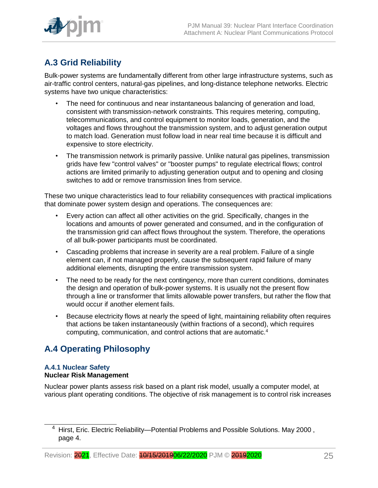

# <span id="page-24-0"></span>**A.3 Grid Reliability**

Bulk-power systems are fundamentally different from other large infrastructure systems, such as air-traffic control centers, natural-gas pipelines, and long-distance telephone networks. Electric systems have two unique characteristics:

- The need for continuous and near instantaneous balancing of generation and load, consistent with transmission-network constraints. This requires metering, computing, telecommunications, and control equipment to monitor loads, generation, and the voltages and flows throughout the transmission system, and to adjust generation output to match load. Generation must follow load in near real time because it is difficult and expensive to store electricity.
- The transmission network is primarily passive. Unlike natural gas pipelines, transmission grids have few "control valves" or "booster pumps" to regulate electrical flows; control actions are limited primarily to adjusting generation output and to opening and closing switches to add or remove transmission lines from service.

These two unique characteristics lead to four reliability consequences with practical implications that dominate power system design and operations. The consequences are:

- Every action can affect all other activities on the grid. Specifically, changes in the locations and amounts of power generated and consumed, and in the configuration of the transmission grid can affect flows throughout the system. Therefore, the operations of all bulk-power participants must be coordinated.
- Cascading problems that increase in severity are a real problem. Failure of a single element can, if not managed properly, cause the subsequent rapid failure of many additional elements, disrupting the entire transmission system.
- The need to be ready for the next contingency, more than current conditions, dominates the design and operation of bulk-power systems. It is usually not the present flow through a line or transformer that limits allowable power transfers, but rather the flow that would occur if another element fails.
- Because electricity flows at nearly the speed of light, maintaining reliability often requires that actions be taken instantaneously (within fractions of a second), which requires computing, communication, and control actions that are automatic.<sup>4</sup>

# <span id="page-24-1"></span>**A.4 Operating Philosophy**

# **A.4.1 Nuclear Safety**

# **Nuclear Risk Management**

Nuclear power plants assess risk based on a plant risk model, usually a computer model, at various plant operating conditions. The objective of risk management is to control risk increases

<sup>&</sup>lt;sup>4</sup> Hirst, Eric. Electric Reliability—Potential Problems and Possible Solutions. May 2000, page 4.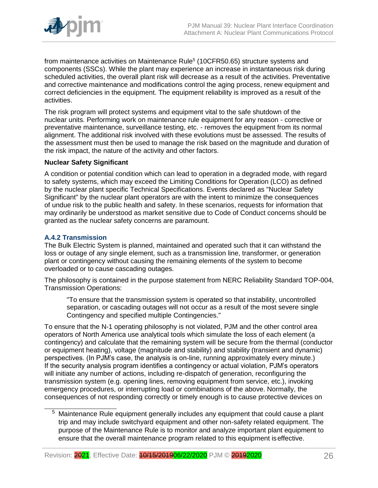

from maintenance activities on Maintenance Rule<sup>5</sup> (10CFR50.65) structure systems and components (SSCs). While the plant may experience an increase in instantaneous risk during scheduled activities, the overall plant risk will decrease as a result of the activities. Preventative and corrective maintenance and modifications control the aging process, renew equipment and correct deficiencies in the equipment. The equipment reliability is improved as a result of the activities.

The risk program will protect systems and equipment vital to the safe shutdown of the nuclear units. Performing work on maintenance rule equipment for any reason - corrective or preventative maintenance, surveillance testing, etc. - removes the equipment from its normal alignment. The additional risk involved with these evolutions must be assessed. The results of the assessment must then be used to manage the risk based on the magnitude and duration of the risk impact, the nature of the activity and other factors.

#### **Nuclear Safety Significant**

A condition or potential condition which can lead to operation in a degraded mode, with regard to safety systems, which may exceed the Limiting Conditions for Operation (LCO) as defined by the nuclear plant specific Technical Specifications. Events declared as "Nuclear Safety Significant" by the nuclear plant operators are with the intent to minimize the consequences of undue risk to the public health and safety. In these scenarios, requests for information that may ordinarily be understood as market sensitive due to Code of Conduct concerns should be granted as the nuclear safety concerns are paramount.

# **A.4.2 Transmission**

The Bulk Electric System is planned, maintained and operated such that it can withstand the loss or outage of any single element, such as a transmission line, transformer, or generation plant or contingency without causing the remaining elements of the system to become overloaded or to cause cascading outages.

The philosophy is contained in the purpose statement from NERC Reliability Standard TOP-004, Transmission Operations:

"To ensure that the transmission system is operated so that instability, uncontrolled separation, or cascading outages will not occur as a result of the most severe single Contingency and specified multiple Contingencies."

To ensure that the N-1 operating philosophy is not violated, PJM and the other control area operators of North America use analytical tools which simulate the loss of each element (a contingency) and calculate that the remaining system will be secure from the thermal (conductor or equipment heating), voltage (magnitude and stability) and stability (transient and dynamic) perspectives. (In PJM's case, the analysis is on-line, running approximately every minute.) If the security analysis program identifies a contingency or actual violation, PJM's operators will initiate any number of actions, including re-dispatch of generation, reconfiguring the transmission system (e.g. opening lines, removing equipment from service, etc.), invoking emergency procedures, or interrupting load or combinations of the above. Normally, the consequences of not responding correctly or timely enough is to cause protective devices on

<sup>&</sup>lt;sup>5</sup> Maintenance Rule equipment generally includes any equipment that could cause a plant trip and may include switchyard equipment and other non-safety related equipment. The purpose of the Maintenance Rule is to monitor and analyze important plant equipment to ensure that the overall maintenance program related to this equipment iseffective.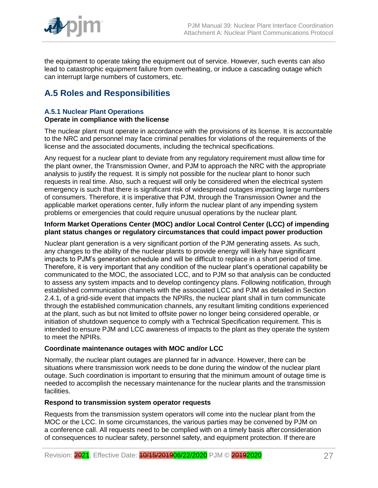

the equipment to operate taking the equipment out of service. However, such events can also lead to catastrophic equipment failure from overheating, or induce a cascading outage which can interrupt large numbers of customers, etc.

# <span id="page-26-0"></span>**A.5 Roles and Responsibilities**

#### **A.5.1 Nuclear Plant Operations Operate in compliance with the license**

The nuclear plant must operate in accordance with the provisions of its license. It is accountable to the NRC and personnel may face criminal penalties for violations of the requirements of the license and the associated documents, including the technical specifications.

Any request for a nuclear plant to deviate from any regulatory requirement must allow time for the plant owner, the Transmission Owner, and PJM to approach the NRC with the appropriate analysis to justify the request. It is simply not possible for the nuclear plant to honor such requests in real time. Also, such a request will only be considered when the electrical system emergency is such that there is significant risk of widespread outages impacting large numbers of consumers. Therefore, it is imperative that PJM, through the Transmission Owner and the applicable market operations center, fully inform the nuclear plant of any impending system problems or emergencies that could require unusual operations by the nuclear plant.

### **Inform Market Operations Center (MOC) and/or Local Control Center (LCC) of impending plant status changes or regulatory circumstances that could impact power production**

Nuclear plant generation is a very significant portion of the PJM generating assets. As such, any changes to the ability of the nuclear plants to provide energy will likely have significant impacts to PJM's generation schedule and will be difficult to replace in a short period of time. Therefore, it is very important that any condition of the nuclear plant's operational capability be communicated to the MOC, the associated LCC, and to PJM so that analysis can be conducted to assess any system impacts and to develop contingency plans. Following notification, through established communication channels with the associated LCC and PJM as detailed in Section 2.4.1, of a grid-side event that impacts the NPIRs, the nuclear plant shall in turn communicate through the established communication channels, any resultant limiting conditions experienced at the plant, such as but not limited to offsite power no longer being considered operable, or initiation of shutdown sequence to comply with a Technical Specification requirement. This is intended to ensure PJM and LCC awareness of impacts to the plant as they operate the system to meet the NPIRs.

# **Coordinate maintenance outages with MOC and/or LCC**

Normally, the nuclear plant outages are planned far in advance. However, there can be situations where transmission work needs to be done during the window of the nuclear plant outage. Such coordination is important to ensuring that the minimum amount of outage time is needed to accomplish the necessary maintenance for the nuclear plants and the transmission facilities.

# **Respond to transmission system operator requests**

Requests from the transmission system operators will come into the nuclear plant from the MOC or the LCC. In some circumstances, the various parties may be convened by PJM on a conference call. All requests need to be complied with on a timely basis afterconsideration of consequences to nuclear safety, personnel safety, and equipment protection. If thereare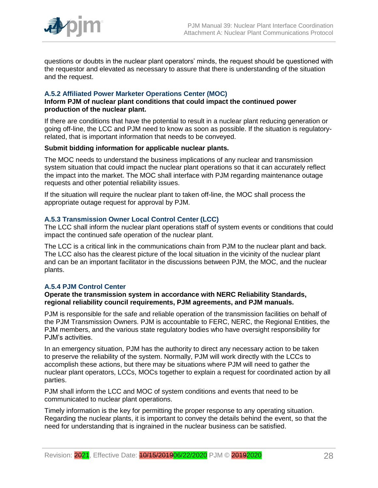

questions or doubts in the nuclear plant operators' minds, the request should be questioned with the requestor and elevated as necessary to assure that there is understanding of the situation and the request.

# **A.5.2 Affiliated Power Marketer Operations Center (MOC)**

#### **Inform PJM of nuclear plant conditions that could impact the continued power production of the nuclear plant.**

If there are conditions that have the potential to result in a nuclear plant reducing generation or going off-line, the LCC and PJM need to know as soon as possible. If the situation is regulatoryrelated, that is important information that needs to be conveyed.

#### **Submit bidding information for applicable nuclear plants.**

The MOC needs to understand the business implications of any nuclear and transmission system situation that could impact the nuclear plant operations so that it can accurately reflect the impact into the market. The MOC shall interface with PJM regarding maintenance outage requests and other potential reliability issues.

If the situation will require the nuclear plant to taken off-line, the MOC shall process the appropriate outage request for approval by PJM.

# **A.5.3 Transmission Owner Local Control Center (LCC)**

The LCC shall inform the nuclear plant operations staff of system events or conditions that could impact the continued safe operation of the nuclear plant.

The LCC is a critical link in the communications chain from PJM to the nuclear plant and back. The LCC also has the clearest picture of the local situation in the vicinity of the nuclear plant and can be an important facilitator in the discussions between PJM, the MOC, and the nuclear plants.

# **A.5.4 PJM Control Center**

#### **Operate the transmission system in accordance with NERC Reliability Standards, regional reliability council requirements, PJM agreements, and PJM manuals.**

PJM is responsible for the safe and reliable operation of the transmission facilities on behalf of the PJM Transmission Owners. PJM is accountable to FERC, NERC, the Regional Entities, the PJM members, and the various state regulatory bodies who have oversight responsibility for PJM's activities.

In an emergency situation, PJM has the authority to direct any necessary action to be taken to preserve the reliability of the system. Normally, PJM will work directly with the LCCs to accomplish these actions, but there may be situations where PJM will need to gather the nuclear plant operators, LCCs, MOCs together to explain a request for coordinated action by all parties.

PJM shall inform the LCC and MOC of system conditions and events that need to be communicated to nuclear plant operations.

Timely information is the key for permitting the proper response to any operating situation. Regarding the nuclear plants, it is important to convey the details behind the event, so that the need for understanding that is ingrained in the nuclear business can be satisfied.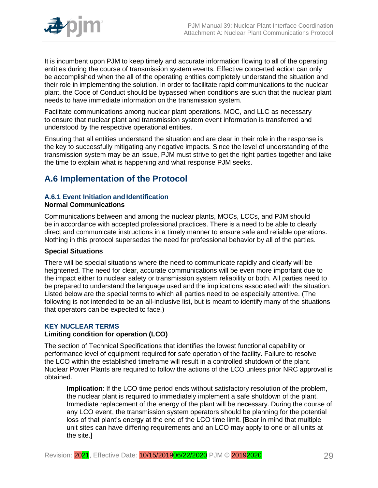

It is incumbent upon PJM to keep timely and accurate information flowing to all of the operating entities during the course of transmission system events. Effective concerted action can only be accomplished when the all of the operating entities completely understand the situation and their role in implementing the solution. In order to facilitate rapid communications to the nuclear plant, the Code of Conduct should be bypassed when conditions are such that the nuclear plant needs to have immediate information on the transmission system.

Facilitate communications among nuclear plant operations, MOC, and LLC as necessary to ensure that nuclear plant and transmission system event information is transferred and understood by the respective operational entities.

Ensuring that all entities understand the situation and are clear in their role in the response is the key to successfully mitigating any negative impacts. Since the level of understanding of the transmission system may be an issue, PJM must strive to get the right parties together and take the time to explain what is happening and what response PJM seeks.

# <span id="page-28-0"></span>**A.6 Implementation of the Protocol**

# **A.6.1 Event Initiation and Identification**

**Normal Communications**

Communications between and among the nuclear plants, MOCs, LCCs, and PJM should be in accordance with accepted professional practices. There is a need to be able to clearly direct and communicate instructions in a timely manner to ensure safe and reliable operations. Nothing in this protocol supersedes the need for professional behavior by all of the parties.

# **Special Situations**

There will be special situations where the need to communicate rapidly and clearly will be heightened. The need for clear, accurate communications will be even more important due to the impact either to nuclear safety or transmission system reliability or both. All parties need to be prepared to understand the language used and the implications associated with the situation. Listed below are the special terms to which all parties need to be especially attentive. (The following is not intended to be an all-inclusive list, but is meant to identify many of the situations that operators can be expected to face.)

# **KEY NUCLEAR TERMS**

# **Limiting condition for operation (LCO)**

The section of Technical Specifications that identifies the lowest functional capability or performance level of equipment required for safe operation of the facility. Failure to resolve the LCO within the established timeframe will result in a controlled shutdown of the plant. Nuclear Power Plants are required to follow the actions of the LCO unless prior NRC approval is obtained.

**Implication**: If the LCO time period ends without satisfactory resolution of the problem, the nuclear plant is required to immediately implement a safe shutdown of the plant. Immediate replacement of the energy of the plant will be necessary. During the course of any LCO event, the transmission system operators should be planning for the potential loss of that plant's energy at the end of the LCO time limit. [Bear in mind that multiple unit sites can have differing requirements and an LCO may apply to one or all units at the site.]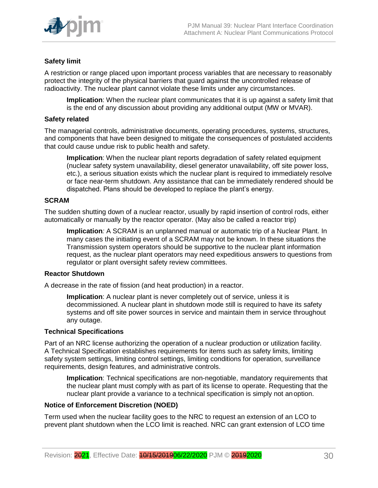

# **Safety limit**

A restriction or range placed upon important process variables that are necessary to reasonably protect the integrity of the physical barriers that guard against the uncontrolled release of radioactivity. The nuclear plant cannot violate these limits under any circumstances.

**Implication**: When the nuclear plant communicates that it is up against a safety limit that is the end of any discussion about providing any additional output (MW or MVAR).

#### **Safety related**

The managerial controls, administrative documents, operating procedures, systems, structures, and components that have been designed to mitigate the consequences of postulated accidents that could cause undue risk to public health and safety.

**Implication**: When the nuclear plant reports degradation of safety related equipment (nuclear safety system unavailability, diesel generator unavailability, off site power loss, etc.), a serious situation exists which the nuclear plant is required to immediately resolve or face near-term shutdown. Any assistance that can be immediately rendered should be dispatched. Plans should be developed to replace the plant's energy.

#### **SCRAM**

The sudden shutting down of a nuclear reactor, usually by rapid insertion of control rods, either automatically or manually by the reactor operator. (May also be called a reactor trip)

**Implication***:* A SCRAM is an unplanned manual or automatic trip of a Nuclear Plant. In many cases the initiating event of a SCRAM may not be known. In these situations the Transmission system operators should be supportive to the nuclear plant information request, as the nuclear plant operators may need expeditious answers to questions from regulator or plant oversight safety review committees.

#### **Reactor Shutdown**

A decrease in the rate of fission (and heat production) in a reactor.

**Implication**: A nuclear plant is never completely out of service, unless it is decommissioned. A nuclear plant in shutdown mode still is required to have its safety systems and off site power sources in service and maintain them in service throughout any outage.

#### **Technical Specifications**

Part of an NRC license authorizing the operation of a nuclear production or utilization facility. A Technical Specification establishes requirements for items such as safety limits, limiting safety system settings, limiting control settings, limiting conditions for operation, surveillance requirements, design features, and administrative controls.

**Implication**: Technical specifications are non-negotiable, mandatory requirements that the nuclear plant must comply with as part of its license to operate. Requesting that the nuclear plant provide a variance to a technical specification is simply not anoption.

#### **Notice of Enforcement Discretion (NOED)**

Term used when the nuclear facility goes to the NRC to request an extension of an LCO to prevent plant shutdown when the LCO limit is reached. NRC can grant extension of LCO time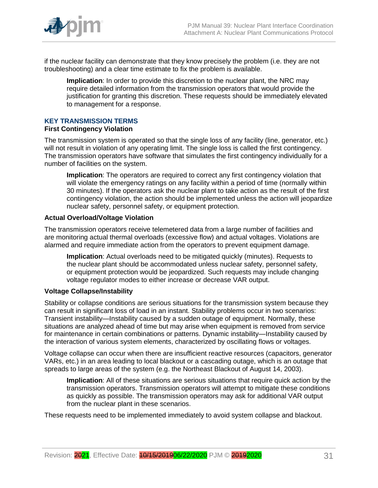

if the nuclear facility can demonstrate that they know precisely the problem (i.e. they are not troubleshooting) and a clear time estimate to fix the problem is available.

**Implication**: In order to provide this discretion to the nuclear plant, the NRC may require detailed information from the transmission operators that would provide the justification for granting this discretion. These requests should be immediately elevated to management for a response.

# **KEY TRANSMISSION TERMS**

#### **First Contingency Violation**

The transmission system is operated so that the single loss of any facility (line, generator, etc.) will not result in violation of any operating limit. The single loss is called the first contingency. The transmission operators have software that simulates the first contingency individually for a number of facilities on the system.

**Implication**: The operators are required to correct any first contingency violation that will violate the emergency ratings on any facility within a period of time (normally within 30 minutes). If the operators ask the nuclear plant to take action as the result of the first contingency violation, the action should be implemented unless the action will jeopardize nuclear safety, personnel safety, or equipment protection.

### **Actual Overload/Voltage Violation**

The transmission operators receive telemetered data from a large number of facilities and are monitoring actual thermal overloads (excessive flow) and actual voltages. Violations are alarmed and require immediate action from the operators to prevent equipment damage.

**Implication**: Actual overloads need to be mitigated quickly (minutes). Requests to the nuclear plant should be accommodated unless nuclear safety, personnel safety, or equipment protection would be jeopardized. Such requests may include changing voltage regulator modes to either increase or decrease VAR output.

# **Voltage Collapse/Instability**

Stability or collapse conditions are serious situations for the transmission system because they can result in significant loss of load in an instant. Stability problems occur in two scenarios: Transient instability—Instability caused by a sudden outage of equipment. Normally, these situations are analyzed ahead of time but may arise when equipment is removed from service for maintenance in certain combinations or patterns. Dynamic instability—Instability caused by the interaction of various system elements, characterized by oscillating flows or voltages.

Voltage collapse can occur when there are insufficient reactive resources (capacitors, generator VARs, etc.) in an area leading to local blackout or a cascading outage, which is an outage that spreads to large areas of the system (e.g. the Northeast Blackout of August 14, 2003).

**Implication**: All of these situations are serious situations that require quick action by the transmission operators. Transmission operators will attempt to mitigate these conditions as quickly as possible. The transmission operators may ask for additional VAR output from the nuclear plant in these scenarios.

These requests need to be implemented immediately to avoid system collapse and blackout.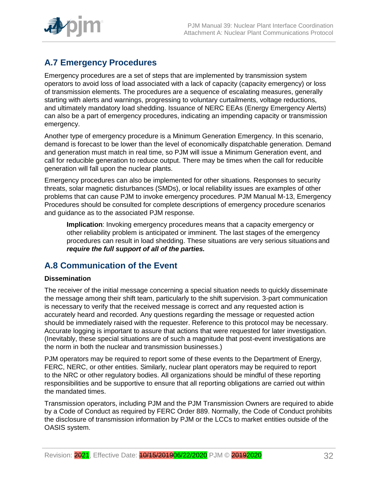

# <span id="page-31-0"></span>**A.7 Emergency Procedures**

Emergency procedures are a set of steps that are implemented by transmission system operators to avoid loss of load associated with a lack of capacity (capacity emergency) or loss of transmission elements. The procedures are a sequence of escalating measures, generally starting with alerts and warnings, progressing to voluntary curtailments, voltage reductions, and ultimately mandatory load shedding. Issuance of NERC EEAs (Energy Emergency Alerts) can also be a part of emergency procedures, indicating an impending capacity or transmission emergency.

Another type of emergency procedure is a Minimum Generation Emergency. In this scenario, demand is forecast to be lower than the level of economically dispatchable generation. Demand and generation must match in real time, so PJM will issue a Minimum Generation event, and call for reducible generation to reduce output. There may be times when the call for reducible generation will fall upon the nuclear plants.

Emergency procedures can also be implemented for other situations. Responses to security threats, solar magnetic disturbances (SMDs), or local reliability issues are examples of other problems that can cause PJM to invoke emergency procedures. PJM Manual M-13, Emergency Procedures should be consulted for complete descriptions of emergency procedure scenarios and guidance as to the associated PJM response.

**Implication**: Invoking emergency procedures means that a capacity emergency or other reliability problem is anticipated or imminent. The last stages of the emergency procedures can result in load shedding. These situations are very serious situations and *require the full support of all of the parties.*

# <span id="page-31-1"></span>**A.8 Communication of the Event**

# **Dissemination**

The receiver of the initial message concerning a special situation needs to quickly disseminate the message among their shift team, particularly to the shift supervision. 3-part communication is necessary to verify that the received message is correct and any requested action is accurately heard and recorded. Any questions regarding the message or requested action should be immediately raised with the requester. Reference to this protocol may be necessary. Accurate logging is important to assure that actions that were requested for later investigation. (Inevitably, these special situations are of such a magnitude that post-event investigations are the norm in both the nuclear and transmission businesses.)

PJM operators may be required to report some of these events to the Department of Energy, FERC, NERC, or other entities. Similarly, nuclear plant operators may be required to report to the NRC or other regulatory bodies. All organizations should be mindful of these reporting responsibilities and be supportive to ensure that all reporting obligations are carried out within the mandated times.

Transmission operators, including PJM and the PJM Transmission Owners are required to abide by a Code of Conduct as required by FERC Order 889. Normally, the Code of Conduct prohibits the disclosure of transmission information by PJM or the LCCs to market entities outside of the OASIS system.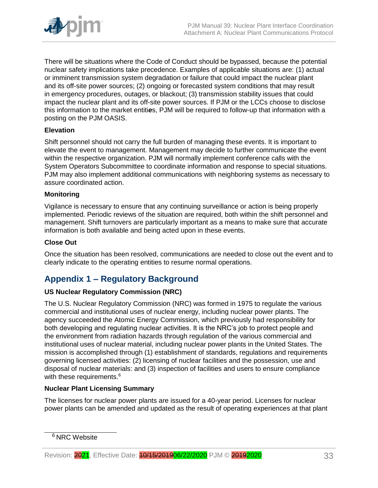

There will be situations where the Code of Conduct should be bypassed, because the potential nuclear safety implications take precedence. Examples of applicable situations are: (1) actual or imminent transmission system degradation or failure that could impact the nuclear plant and its off-site power sources; (2) ongoing or forecasted system conditions that may result in emergency procedures, outages, or blackout; (3) transmission stability issues that could impact the nuclear plant and its off-site power sources. If PJM or the LCCs choose to disclose this information to the market entiti*e*s, PJM will be required to follow-up that information with a posting on the PJM OASIS.

# **Elevation**

Shift personnel should not carry the full burden of managing these events. It is important to elevate the event to management. Management may decide to further communicate the event within the respective organization. PJM will normally implement conference calls with the System Operators Subcommittee to coordinate information and response to special situations. PJM may also implement additional communications with neighboring systems as necessary to assure coordinated action.

# **Monitoring**

Vigilance is necessary to ensure that any continuing surveillance or action is being properly implemented. Periodic reviews of the situation are required, both within the shift personnel and management. Shift turnovers are particularly important as a means to make sure that accurate information is both available and being acted upon in these events.

### **Close Out**

Once the situation has been resolved, communications are needed to close out the event and to clearly indicate to the operating entities to resume normal operations.

# <span id="page-32-0"></span>**Appendix 1 – Regulatory Background**

# **US Nuclear Regulatory Commission (NRC)**

The U.S. Nuclear Regulatory Commission (NRC) was formed in 1975 to regulate the various commercial and institutional uses of nuclear energy, including nuclear power plants. The agency succeeded the Atomic Energy Commission, which previously had responsibility for both developing and regulating nuclear activities. It is the NRC's job to protect people and the environment from radiation hazards through regulation of the various commercial and institutional uses of nuclear material, including nuclear power plants in the United States. The mission is accomplished through (1) establishment of standards, regulations and requirements governing licensed activities: (2) licensing of nuclear facilities and the possession, use and disposal of nuclear materials: and (3) inspection of facilities and users to ensure compliance with these requirements.<sup>6</sup>

#### **Nuclear Plant Licensing Summary**

The licenses for nuclear power plants are issued for a 40-year period. Licenses for nuclear power plants can be amended and updated as the result of operating experiences at that plant

<sup>&</sup>lt;sup>6</sup> NRC Website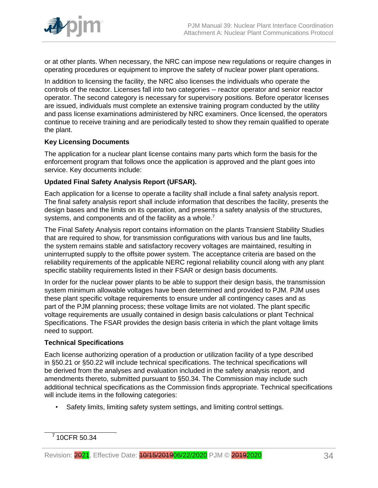

or at other plants. When necessary, the NRC can impose new regulations or require changes in operating procedures or equipment to improve the safety of nuclear power plant operations.

In addition to licensing the facility, the NRC also licenses the individuals who operate the controls of the reactor. Licenses fall into two categories -- reactor operator and senior reactor operator. The second category is necessary for supervisory positions. Before operator licenses are issued, individuals must complete an extensive training program conducted by the utility and pass license examinations administered by NRC examiners. Once licensed, the operators continue to receive training and are periodically tested to show they remain qualified to operate the plant.

# **Key Licensing Documents**

The application for a nuclear plant license contains many parts which form the basis for the enforcement program that follows once the application is approved and the plant goes into service. Key documents include:

# **Updated Final Safety Analysis Report (UFSAR).**

Each application for a license to operate a facility shall include a final safety analysis report. The final safety analysis report shall include information that describes the facility, presents the desian bases and the limits on its operation, and presents a safety analysis of the structures, systems, and components and of the facility as a whole.<sup>7</sup>

The Final Safety Analysis report contains information on the plants Transient Stability Studies that are required to show, for transmission configurations with various bus and line faults, the system remains stable and satisfactory recovery voltages are maintained, resulting in uninterrupted supply to the offsite power system. The acceptance criteria are based on the reliability requirements of the applicable NERC regional reliability council along with any plant specific stability requirements listed in their FSAR or design basis documents.

In order for the nuclear power plants to be able to support their design basis, the transmission system minimum allowable voltages have been determined and provided to PJM. PJM uses these plant specific voltage requirements to ensure under all contingency cases and as part of the PJM planning process; these voltage limits are not violated. The plant specific voltage requirements are usually contained in design basis calculations or plant Technical Specifications. The FSAR provides the design basis criteria in which the plant voltage limits need to support.

# **Technical Specifications**

Each license authorizing operation of a production or utilization facility of a type described in §50.21 or §50.22 will include technical specifications. The technical specifications will be derived from the analyses and evaluation included in the safety analysis report, and amendments thereto, submitted pursuant to §50.34. The Commission may include such additional technical specifications as the Commission finds appropriate. Technical specifications will include items in the following categories:

Safety limits, limiting safety system settings, and limiting control settings.

 $7$  10CFR 50.34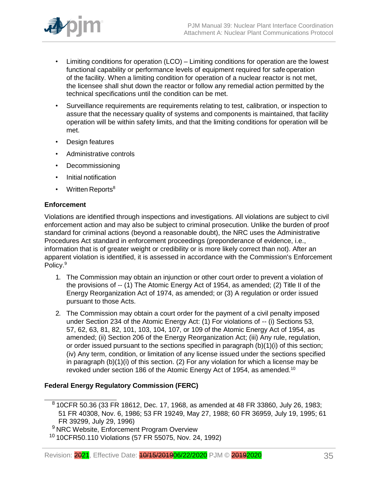

- Limiting conditions for operation (LCO) Limiting conditions for operation are the lowest functional capability or performance levels of equipment required for safeoperation of the facility. When a limiting condition for operation of a nuclear reactor is not met, the licensee shall shut down the reactor or follow any remedial action permitted by the technical specifications until the condition can be met.
- Surveillance requirements are requirements relating to test, calibration, or inspection to assure that the necessary quality of systems and components is maintained, that facility operation will be within safety limits, and that the limiting conditions for operation will be met.
- Design features
- Administrative controls
- Decommissioning
- Initial notification
- Written Reports $8$

# **Enforcement**

Violations are identified through inspections and investigations. All violations are subject to civil enforcement action and may also be subject to criminal prosecution. Unlike the burden of proof standard for criminal actions (beyond a reasonable doubt), the NRC uses the Administrative Procedures Act standard in enforcement proceedings (preponderance of evidence, i.e., information that is of greater weight or credibility or is more likely correct than not). After an apparent violation is identified, it is assessed in accordance with the Commission's Enforcement Policy.<sup>9</sup>

- 1. The Commission may obtain an injunction or other court order to prevent a violation of the provisions of -- (1) The Atomic Energy Act of 1954, as amended; (2) Title II of the Energy Reorganization Act of 1974, as amended; or (3) A regulation or order issued pursuant to those Acts.
- 2. The Commission may obtain a court order for the payment of a civil penalty imposed under Section 234 of the Atomic Energy Act: (1) For violations of -- (i) Sections 53, 57, 62, 63, 81, 82, 101, 103, 104, 107, or 109 of the Atomic Energy Act of 1954, as amended; (ii) Section 206 of the Energy Reorganization Act; (iii) Any rule, regulation, or order issued pursuant to the sections specified in paragraph (b)(1)(i) of this section; (iv) Any term, condition, or limitation of any license issued under the sections specified in paragraph (b)(1)(i) of this section. (2) For any violation for which a license may be revoked under section 186 of the Atomic Energy Act of 1954, as amended.<sup>10</sup>

# **Federal Energy Regulatory Commission (FERC)**

 $810$ CFR 50.36 (33 FR 18612, Dec. 17, 1968, as amended at 48 FR 33860, July 26, 1983; 51 FR 40308, Nov. 6, 1986; 53 FR 19249, May 27, 1988; 60 FR 36959, July 19, 1995; 61 FR 39299, July 29, 1996)

<sup>9</sup> NRC Website, Enforcement Program Overview

<sup>&</sup>lt;sup>10</sup> 10CFR50.110 Violations (57 FR 55075, Nov. 24, 1992)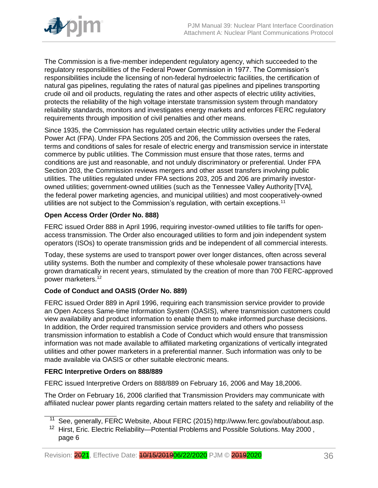

The Commission is a five-member independent regulatory agency, which succeeded to the regulatory responsibilities of the Federal Power Commission in 1977. The Commission's responsibilities include the licensing of non-federal hydroelectric facilities, the certification of natural gas pipelines, regulating the rates of natural gas pipelines and pipelines transporting crude oil and oil products, regulating the rates and other aspects of electric utility activities, protects the reliability of the high voltage interstate transmission system through mandatory reliability standards, monitors and investigates energy markets and enforces FERC regulatory requirements through imposition of civil penalties and other means.

Since 1935, the Commission has regulated certain electric utility activities under the Federal Power Act (FPA). Under FPA Sections 205 and 206, the Commission oversees the rates, terms and conditions of sales for resale of electric energy and transmission service in interstate commerce by public utilities. The Commission must ensure that those rates, terms and conditions are just and reasonable, and not unduly discriminatory or preferential. Under FPA Section 203, the Commission reviews mergers and other asset transfers involving public utilities. The utilities regulated under FPA sections 203, 205 and 206 are primarily investorowned utilities; government-owned utilities (such as the Tennessee Valley Authority [TVA], the federal power marketing agencies, and municipal utilities) and most cooperatively-owned utilities are not subject to the Commission's regulation, with certain exceptions.<sup>11</sup>

# **Open Access Order (Order No. 888)**

FERC issued Order 888 in April 1996, requiring investor-owned utilities to file tariffs for openaccess transmission. The Order also encouraged utilities to form and join independent system operators (ISOs) to operate transmission grids and be independent of all commercial interests.

Today, these systems are used to transport power over longer distances, often across several utility systems. Both the number and complexity of these wholesale power transactions have grown dramatically in recent years, stimulated by the creation of more than 700 FERC-approved power marketers.<sup>12</sup>

# **Code of Conduct and OASIS (Order No. 889)**

FERC issued Order 889 in April 1996, requiring each transmission service provider to provide an Open Access Same-time Information System (OASIS), where transmission customers could view availability and product information to enable them to make informed purchase decisions. In addition, the Order required transmission service providers and others who possess transmission information to establish a Code of Conduct which would ensure that transmission information was not made available to affiliated marketing organizations of vertically integrated utilities and other power marketers in a preferential manner. Such information was only to be made available via OASIS or other suitable electronic means.

# **FERC Interpretive Orders on 888/889**

FERC issued Interpretive Orders on 888/889 on February 16, 2006 and May 18,2006.

The Order on February 16, 2006 clarified that Transmission Providers may communicate with affiliated nuclear power plants regarding certain matters related to the safety and reliability of the

See, generally, FERC Website, About FERC (2015) [http://www.ferc.gov/about/about.asp.](http://www.ferc.gov/about/about.asp)

<sup>&</sup>lt;sup>12</sup> Hirst, Eric. Electric Reliability—Potential Problems and Possible Solutions. May 2000, page 6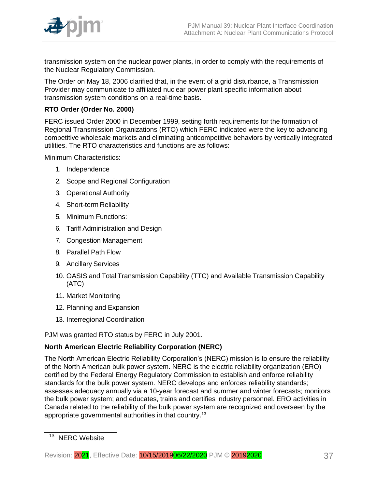

transmission system on the nuclear power plants, in order to comply with the requirements of the Nuclear Regulatory Commission.

The Order on May 18, 2006 clarified that, in the event of a grid disturbance, a Transmission Provider may communicate to affiliated nuclear power plant specific information about transmission system conditions on a real-time basis.

# **RTO Order (Order No. 2000)**

FERC issued Order 2000 in December 1999, setting forth requirements for the formation of Regional Transmission Organizations (RTO) which FERC indicated were the key to advancing competitive wholesale markets and eliminating anticompetitive behaviors by vertically integrated utilities. The RTO characteristics and functions are as follows:

Minimum Characteristics:

- 1. Independence
- 2. Scope and Regional Configuration
- 3. Operational Authority
- 4. Short-term Reliability
- 5. Minimum Functions:
- 6. Tariff Administration and Design
- 7. Congestion Management
- 8. Parallel Path Flow
- 9. Ancillary Services
- 10. OASIS and Total Transmission Capability (TTC) and Available Transmission Capability (ATC)
- 11. Market Monitoring
- 12. Planning and Expansion
- 13. Interregional Coordination

PJM was granted RTO status by FERC in July 2001.

# **North American Electric Reliability Corporation (NERC)**

The North American Electric Reliability Corporation's (NERC) mission is to ensure the reliability of the North American bulk power system. NERC is the electric reliability organization (ERO) certified by the Federal Energy Regulatory Commission to establish and enforce reliability standards for the bulk power system. NERC develops and enforces reliability standards; assesses adequacy annually via a 10-year forecast and summer and winter forecasts; monitors the bulk power system; and educates, trains and certifies industry personnel. ERO activities in Canada related to the reliability of the bulk power system are recognized and overseen by the appropriate governmental authorities in that country.<sup>13</sup>

<sup>&</sup>lt;sup>13</sup> NERC Website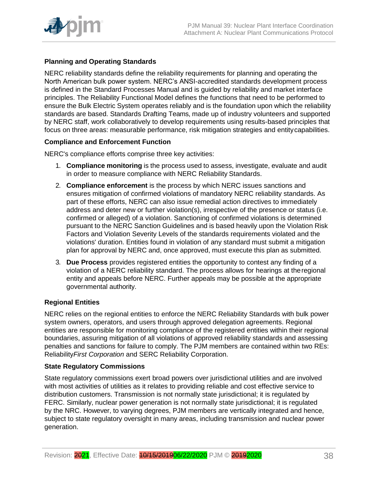

# **Planning and Operating Standards**

NERC reliability standards define the reliability requirements for planning and operating the North American bulk power system. NERC's ANSI-accredited standards development process is defined in the Standard Processes Manual and is guided by reliability and market interface principles. The Reliability Functional Model defines the functions that need to be performed to ensure the Bulk Electric System operates reliably and is the foundation upon which the reliability standards are based. Standards Drafting Teams, made up of industry volunteers and supported by NERC staff, work collaboratively to develop requirements using results-based principles that focus on three areas: measurable performance, risk mitigation strategies and entitycapabilities.

# **Compliance and Enforcement Function**

NERC's compliance efforts comprise three key activities:

- 1. **Compliance monitoring** is the process used to assess, investigate, evaluate and audit in order to measure compliance with NERC Reliability Standards.
- 2. **Compliance enforcement** is the process by which NERC issues sanctions and ensures mitigation of confirmed violations of mandatory NERC reliability standards. As part of these efforts, NERC can also issue remedial action directives to immediately address and deter new or further violation(s), irrespective of the presence or status (i.e. confirmed or alleged) of a violation. Sanctioning of confirmed violations is determined pursuant to the NERC Sanction Guidelines and is based heavily upon the Violation Risk Factors and Violation Severity Levels of the standards requirements violated and the violations' duration. Entities found in violation of any standard must submit a mitigation plan for approval by NERC and, once approved, must execute this plan as submitted.
- 3. **Due Process** provides registered entities the opportunity to contest any finding of a violation of a NERC reliability standard. The process allows for hearings at theregional entity and appeals before NERC. Further appeals may be possible at the appropriate governmental authority.

# **Regional Entities**

NERC relies on the regional entities to enforce the NERC Reliability Standards with bulk power system owners, operators, and users through approved delegation agreements. Regional entities are responsible for monitoring compliance of the registered entities within their regional boundaries, assuring mitigation of all violations of approved reliability standards and assessing penalties and sanctions for failure to comply. The PJM members are contained within two REs: Reliability*First Corporation* and SERC Reliability Corporation.

# **State Regulatory Commissions**

State regulatory commissions exert broad powers over jurisdictional utilities and are involved with most activities of utilities as it relates to providing reliable and cost effective service to distribution customers. Transmission is not normally state jurisdictional; it is regulated by FERC. Similarly, nuclear power generation is not normally state jurisdictional; it is regulated by the NRC. However, to varying degrees, PJM members are vertically integrated and hence, subject to state regulatory oversight in many areas, including transmission and nuclear power generation.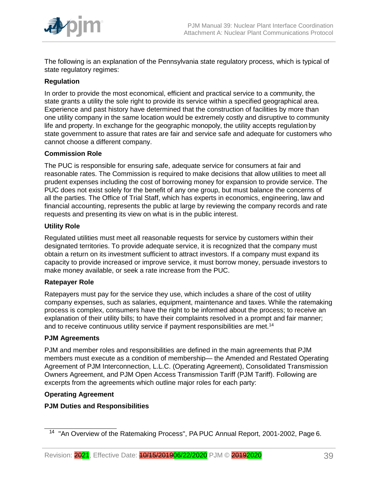

The following is an explanation of the Pennsylvania state regulatory process, which is typical of state regulatory regimes:

# **Regulation**

In order to provide the most economical, efficient and practical service to a community, the state grants a utility the sole right to provide its service within a specified geographical area. Experience and past history have determined that the construction of facilities by more than one utility company in the same location would be extremely costly and disruptive to community life and property. In exchange for the geographic monopoly, the utility accepts regulation by state government to assure that rates are fair and service safe and adequate for customers who cannot choose a different company.

# **Commission Role**

The PUC is responsible for ensuring safe, adequate service for consumers at fair and reasonable rates. The Commission is required to make decisions that allow utilities to meet all prudent expenses including the cost of borrowing money for expansion to provide service. The PUC does not exist solely for the benefit of any one group, but must balance the concerns of all the parties. The Office of Trial Staff, which has experts in economics, engineering, law and financial accounting, represents the public at large by reviewing the company records and rate requests and presenting its view on what is in the public interest.

# **Utility Role**

Regulated utilities must meet all reasonable requests for service by customers within their designated territories. To provide adequate service, it is recognized that the company must obtain a return on its investment sufficient to attract investors. If a company must expand its capacity to provide increased or improve service, it must borrow money, persuade investors to make money available, or seek a rate increase from the PUC.

# **Ratepayer Role**

Ratepayers must pay for the service they use, which includes a share of the cost of utility company expenses, such as salaries, equipment, maintenance and taxes. While the ratemaking process is complex, consumers have the right to be informed about the process; to receive an explanation of their utility bills; to have their complaints resolved in a prompt and fair manner; and to receive continuous utility service if payment responsibilities are met.<sup>14</sup>

# **PJM Agreements**

PJM and member roles and responsibilities are defined in the main agreements that PJM members must execute as a condition of membership— the Amended and Restated Operating Agreement of PJM Interconnection, L.L.C. (Operating Agreement), Consolidated Transmission Owners Agreement, and PJM Open Access Transmission Tariff (PJM Tariff). Following are excerpts from the agreements which outline major roles for each party:

# **Operating Agreement**

# **PJM Duties and Responsibilities**

<sup>14</sup> "An Overview of the Ratemaking Process", PA PUC Annual Report, 2001-2002, Page 6.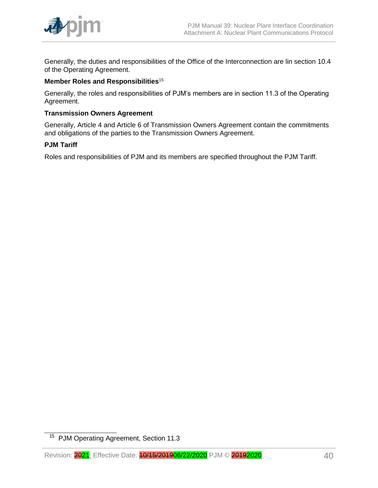

Generally, the duties and responsibilities of the Office of the Interconnection are lin section 10.4 of the Operating Agreement.

### **Member Roles and Responsibilities**<sup>15</sup>

Generally, the roles and responsibilities of PJM's members are in section 11.3 of the Operating Agreement.

### **Transmission Owners Agreement**

Generally, Article 4 and Article 6 of Transmission Owners Agreement contain the commitments and obligations of the parties to the Transmission Owners Agreement.

#### **PJM Tariff**

Roles and responsibilities of PJM and its members are specified throughout the PJM Tariff.

<sup>&</sup>lt;sup>15</sup> PJM Operating Agreement, Section 11.3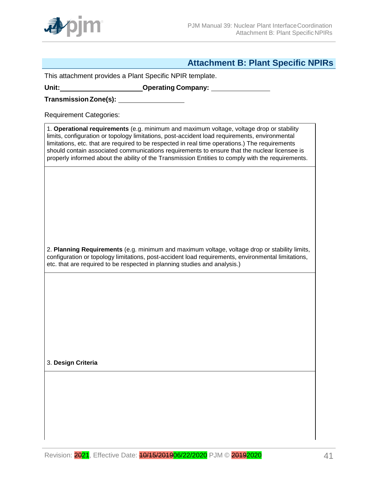

# **Attachment B: Plant Specific NPIRs**

<span id="page-40-0"></span>This attachment provides a Plant Specific NPIR template.

**Unit: Operating Company:**

**TransmissionZone(s):**

Requirement Categories:

1. **Operational requirements** (e.g. minimum and maximum voltage, voltage drop or stability limits, configuration or topology limitations, post-accident load requirements, environmental limitations, etc. that are required to be respected in real time operations.) The requirements should contain associated communications requirements to ensure that the nuclear licensee is properly informed about the ability of the Transmission Entities to comply with the requirements.

2. **Planning Requirements** (e.g. minimum and maximum voltage, voltage drop or stability limits, configuration or topology limitations, post-accident load requirements, environmental limitations, etc. that are required to be respected in planning studies and analysis.)

3. **Design Criteria**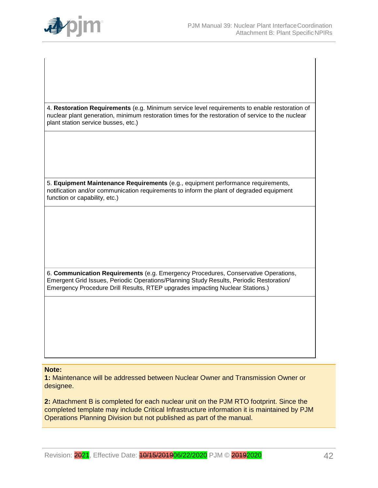

4. **Restoration Requirements** (e.g. Minimum service level requirements to enable restoration of nuclear plant generation, minimum restoration times for the restoration of service to the nuclear plant station service busses, etc.)

5. **Equipment Maintenance Requirements** (e.g., equipment performance requirements, notification and/or communication requirements to inform the plant of degraded equipment function or capability, etc.)

6. **Communication Requirements** (e.g. Emergency Procedures, Conservative Operations, Emergent Grid Issues, Periodic Operations/Planning Study Results, Periodic Restoration/ Emergency Procedure Drill Results, RTEP upgrades impacting Nuclear Stations.)

#### **Note:**

**1:** Maintenance will be addressed between Nuclear Owner and Transmission Owner or designee.

**2:** Attachment B is completed for each nuclear unit on the PJM RTO footprint. Since the completed template may include Critical Infrastructure information it is maintained by PJM Operations Planning Division but not published as part of the manual.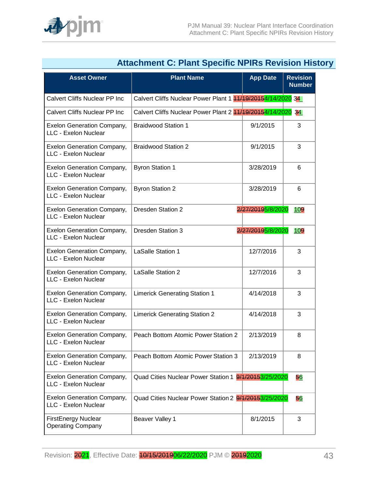

<span id="page-42-0"></span>

|                                                           | Audumnum U. Francopound in the Number Histo                 |                   |                                  |
|-----------------------------------------------------------|-------------------------------------------------------------|-------------------|----------------------------------|
| <b>Asset Owner</b>                                        | <b>Plant Name</b>                                           | <b>App Date</b>   | <b>Revision</b><br><b>Number</b> |
| Calvert Cliffs Nuclear PP Inc                             | Calvert Cliffs Nuclear Power Plant 1 44/19/20154/14/2020 34 |                   |                                  |
| <b>Calvert Cliffs Nuclear PP Inc</b>                      | Calvert Cliffs Nuclear Power Plant 2 44/19/20154/14/2020 34 |                   |                                  |
| <b>Exelon Generation Company,</b><br>LLC - Exelon Nuclear | <b>Braidwood Station 1</b>                                  | 9/1/2015          | 3                                |
| <b>Exelon Generation Company,</b><br>LLC - Exelon Nuclear | <b>Braidwood Station 2</b>                                  | 9/1/2015          | 3                                |
| <b>Exelon Generation Company,</b><br>LLC - Exelon Nuclear | <b>Byron Station 1</b>                                      | 3/28/2019         | 6                                |
| <b>Exelon Generation Company,</b><br>LLC - Exelon Nuclear | <b>Byron Station 2</b>                                      | 3/28/2019         | 6                                |
| <b>Exelon Generation Company,</b><br>LLC - Exelon Nuclear | <b>Dresden Station 2</b>                                    | 2/27/20195/8/2020 | 109                              |
| <b>Exelon Generation Company,</b><br>LLC - Exelon Nuclear | <b>Dresden Station 3</b>                                    | 2/27/20195/8/2020 | 109                              |
| <b>Exelon Generation Company,</b><br>LLC - Exelon Nuclear | <b>LaSalle Station 1</b>                                    | 12/7/2016         | 3                                |
| <b>Exelon Generation Company,</b><br>LLC - Exelon Nuclear | <b>LaSalle Station 2</b>                                    | 12/7/2016         | 3                                |
| <b>Exelon Generation Company,</b><br>LLC - Exelon Nuclear | <b>Limerick Generating Station 1</b>                        | 4/14/2018         | 3                                |
| <b>Exelon Generation Company,</b><br>LLC - Exelon Nuclear | <b>Limerick Generating Station 2</b>                        | 4/14/2018         | 3                                |
| <b>Exelon Generation Company,</b><br>LLC - Exelon Nuclear | Peach Bottom Atomic Power Station 2                         | 2/13/2019         | 8                                |
| <b>Exelon Generation Company,</b><br>LLC - Exelon Nuclear | Peach Bottom Atomic Power Station 3                         | 2/13/2019         | 8                                |
| <b>Exelon Generation Company,</b><br>LLC - Exelon Nuclear | Quad Cities Nuclear Power Station 1 9/1/20153/25/2020       |                   | 56                               |
| <b>Exelon Generation Company,</b><br>LLC - Exelon Nuclear | Quad Cities Nuclear Power Station 2 9/1/20153/25/2020       |                   | 56                               |
| <b>FirstEnergy Nuclear</b><br><b>Operating Company</b>    | Beaver Valley 1                                             | 8/1/2015          | 3                                |
|                                                           |                                                             |                   |                                  |

# **Attachment C: Plant Specific NPIRs Revision History**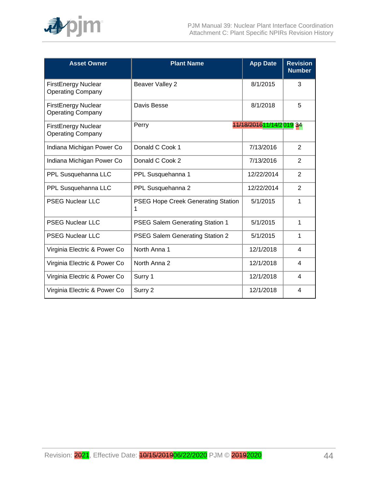

| <b>Asset Owner</b>                                     | <b>Plant Name</b>                              | <b>App Date</b>           | <b>Revision</b><br><b>Number</b> |
|--------------------------------------------------------|------------------------------------------------|---------------------------|----------------------------------|
| <b>FirstEnergy Nuclear</b><br><b>Operating Company</b> | Beaver Valley 2                                | 8/1/2015                  | 3                                |
| <b>FirstEnergy Nuclear</b><br><b>Operating Company</b> | Davis Besse                                    | 8/1/2018                  | 5                                |
| <b>FirstEnergy Nuclear</b><br><b>Operating Company</b> | Perry                                          | 11/18/2016 11/14/2 019 34 |                                  |
| Indiana Michigan Power Co                              | Donald C Cook 1                                | 7/13/2016                 | 2                                |
| Indiana Michigan Power Co                              | Donald C Cook 2                                | 7/13/2016                 | $\overline{2}$                   |
| PPL Susquehanna LLC                                    | PPL Susquehanna 1                              | 12/22/2014                | $\overline{2}$                   |
| PPL Susquehanna LLC                                    | PPL Susquehanna 2                              | 12/22/2014                | 2                                |
| <b>PSEG Nuclear LLC</b>                                | <b>PSEG Hope Creek Generating Station</b><br>1 | 5/1/2015                  | 1                                |
| <b>PSEG Nuclear LLC</b>                                | PSEG Salem Generating Station 1                | 5/1/2015                  | 1                                |
| <b>PSEG Nuclear LLC</b>                                | PSEG Salem Generating Station 2                | 5/1/2015                  | 1                                |
| Virginia Electric & Power Co                           | North Anna 1                                   | 12/1/2018                 | 4                                |
| Virginia Electric & Power Co                           | North Anna 2                                   | 12/1/2018                 | 4                                |
| Virginia Electric & Power Co                           | Surry 1                                        | 12/1/2018                 | 4                                |
| Virginia Electric & Power Co                           | Surry 2                                        | 12/1/2018                 | 4                                |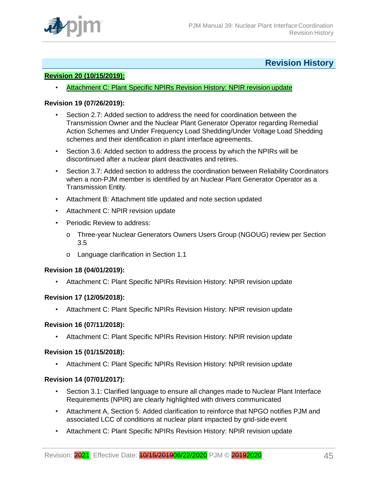

# **Revision History**

# <span id="page-44-0"></span>**Revision 20 (10/15/2019):**

**Attachment C: Plant Specific NPIRs Revision History: NPIR revision update** 

#### **Revision 19 (07/26/2019):**

- Section 2.7: Added section to address the need for coordination between the Transmission Owner and the Nuclear Plant Generator Operator regarding Remedial Action Schemes and Under Frequency Load Shedding/Under Voltage Load Shedding schemes and their identification in plant interface agreements.
- Section 3.6: Added section to address the process by which the NPIRs will be discontinued after a nuclear plant deactivates and retires.
- Section 3.7: Added section to address the coordination between Reliability Coordinators when a non-PJM member is identified by an Nuclear Plant Generator Operator as a Transmission Entity.
- Attachment B: Attachment title updated and note section updated
- Attachment C: NPIR revision update
- Periodic Review to address:
	- o Three-year Nuclear Generators Owners Users Group (NGOUG) review per Section 3.5
	- o Language clarification in Section 1.1

#### **Revision 18 (04/01/2019):**

• Attachment C: Plant Specific NPIRs Revision History: NPIR revision update

#### **Revision 17 (12/05/2018):**

• Attachment C: Plant Specific NPIRs Revision History: NPIR revision update

#### **Revision 16 (07/11/2018):**

• Attachment C: Plant Specific NPIRs Revision History: NPIR revision update

#### **Revision 15 (01/15/2018):**

• Attachment C: Plant Specific NPIRs Revision History: NPIR revision update

#### **Revision 14 (07/01/2017):**

- Section 3.1: Clarified language to ensure all changes made to Nuclear Plant Interface Requirements (NPIR) are clearly highlighted with drivers communicated
- Attachment A, Section 5: Added clarification to reinforce that NPGO notifies PJM and associated LCC of conditions at nuclear plant impacted by grid-side event
- Attachment C: Plant Specific NPIRs Revision History: NPIR revision update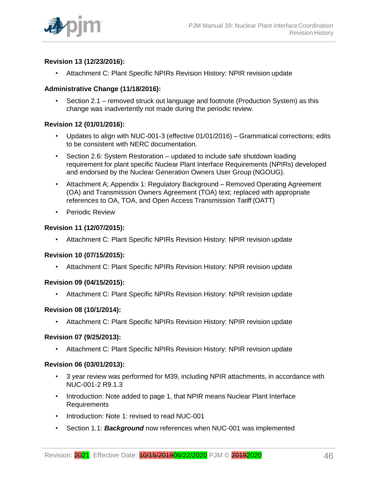

# **Revision 13 (12/23/2016):**

• Attachment C: Plant Specific NPIRs Revision History: NPIR revision update

# **Administrative Change (11/18/2016):**

• Section 2.1 – removed struck out language and footnote (Production System) as this change was inadvertently not made during the periodic review.

# **Revision 12 (01/01/2016):**

- Updates to align with NUC-001-3 (effective 01/01/2016) Grammatical corrections; edits to be consistent with NERC documentation.
- Section 2.6: System Restoration updated to include safe shutdown loading requirement for plant specific Nuclear Plant Interface Requirements (NPIRs) developed and endorsed by the Nuclear Generation Owners User Group (NGOUG).
- Attachment A; Appendix 1: Regulatory Background Removed Operating Agreement (OA) and Transmission Owners Agreement (TOA) text; replaced with appropriate references to OA, TOA, and Open Access Transmission Tariff (OATT)
- Periodic Review

# **Revision 11 (12/07/2015):**

• Attachment C: Plant Specific NPIRs Revision History: NPIR revision update

# **Revision 10 (07/15/2015):**

• Attachment C: Plant Specific NPIRs Revision History: NPIR revision update

# **Revision 09 (04/15/2015):**

• Attachment C: Plant Specific NPIRs Revision History: NPIR revision update

# **Revision 08 (10/1/2014):**

• Attachment C: Plant Specific NPIRs Revision History: NPIR revision update

# **Revision 07 (9/25/2013):**

• Attachment C: Plant Specific NPIRs Revision History: NPIR revision update

# **Revision 06 (03/01/2013):**

- 3 year review was performed for M39, including NPIR attachments, in accordance with NUC-001-2 R9.1.3
- Introduction: Note added to page 1, that NPIR means Nuclear Plant Interface Requirements
- Introduction: Note 1: revised to read NUC-001
- Section 1.1: *Background* now references when NUC-001 was implemented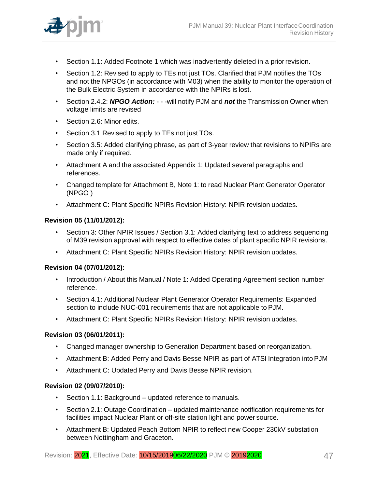

- Section 1.1: Added Footnote 1 which was inadvertently deleted in a priorrevision.
- Section 1.2: Revised to apply to TEs not just TOs. Clarified that PJM notifies the TOs and not the NPGOs (in accordance with M03) when the ability to monitor the operation of the Bulk Electric System in accordance with the NPIRs is lost.
- Section 2.4.2: *NPGO Action:* - -will notify PJM and *not* the Transmission Owner when voltage limits are revised
- Section 2.6: Minor edits.
- Section 3.1 Revised to apply to TEs not just TOs.
- Section 3.5: Added clarifying phrase, as part of 3-year review that revisions to NPIRs are made only if required.
- Attachment A and the associated Appendix 1: Updated several paragraphs and references.
- Changed template for Attachment B, Note 1: to read Nuclear Plant Generator Operator (NPGO )
- Attachment C: Plant Specific NPIRs Revision History: NPIR revision updates.

# **Revision 05 (11/01/2012):**

- Section 3: Other NPIR Issues / Section 3.1: Added clarifying text to address sequencing of M39 revision approval with respect to effective dates of plant specific NPIR revisions.
- Attachment C: Plant Specific NPIRs Revision History: NPIR revision updates.

# **Revision 04 (07/01/2012):**

- Introduction / About this Manual / Note 1: Added Operating Agreement section number reference.
- Section 4.1: Additional Nuclear Plant Generator Operator Requirements: Expanded section to include NUC-001 requirements that are not applicable to PJM.
- Attachment C: Plant Specific NPIRs Revision History: NPIR revision updates.

# **Revision 03 (06/01/2011):**

- Changed manager ownership to Generation Department based on reorganization.
- Attachment B: Added Perry and Davis Besse NPIR as part of ATSI Integration into PJM
- Attachment C: Updated Perry and Davis Besse NPIR revision.

# **Revision 02 (09/07/2010):**

- Section 1.1: Background updated reference to manuals.
- Section 2.1: Outage Coordination updated maintenance notification requirements for facilities impact Nuclear Plant or off-site station light and power source.
- Attachment B: Updated Peach Bottom NPIR to reflect new Cooper 230kV substation between Nottingham and Graceton.